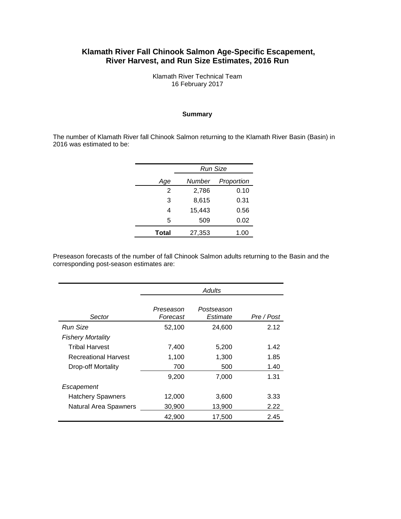### **Klamath River Fall Chinook Salmon Age-Specific Escapement, River Harvest, and Run Size Estimates, 2016 Run**

Klamath River Technical Team 16 February 2017

#### **Summary**

The number of Klamath River fall Chinook Salmon returning to the Klamath River Basin (Basin) in 2016 was estimated to be:

|              | <b>Run Size</b> |            |  |  |
|--------------|-----------------|------------|--|--|
| Age          | Number          | Proportion |  |  |
| 2            | 2,786           | 0.10       |  |  |
| 3            | 8,615           | 0.31       |  |  |
| 4            | 15,443          | 0.56       |  |  |
| 5            | 509             | 0.02       |  |  |
| <b>Total</b> | 27,353          | 1.00       |  |  |

Preseason forecasts of the number of fall Chinook Salmon adults returning to the Basin and the corresponding post-season estimates are:

|                              | Adults                |                        |            |  |  |
|------------------------------|-----------------------|------------------------|------------|--|--|
| Sector                       | Preseason<br>Forecast | Postseason<br>Estimate | Pre / Post |  |  |
| Run Size                     | 52,100                | 24,600                 | 2.12       |  |  |
| <b>Fishery Mortality</b>     |                       |                        |            |  |  |
| <b>Tribal Harvest</b>        | 7,400                 | 5,200                  | 1.42       |  |  |
| Recreational Harvest         | 1,100                 | 1,300                  | 1.85       |  |  |
| Drop-off Mortality           | 700                   | 500                    | 1.40       |  |  |
|                              | 9,200                 | 7,000                  | 1.31       |  |  |
| Escapement                   |                       |                        |            |  |  |
| <b>Hatchery Spawners</b>     | 12,000                | 3,600                  | 3.33       |  |  |
| <b>Natural Area Spawners</b> | 30,900                | 13,900                 | 2.22       |  |  |
|                              | 42,900                | 17,500                 | 2.45       |  |  |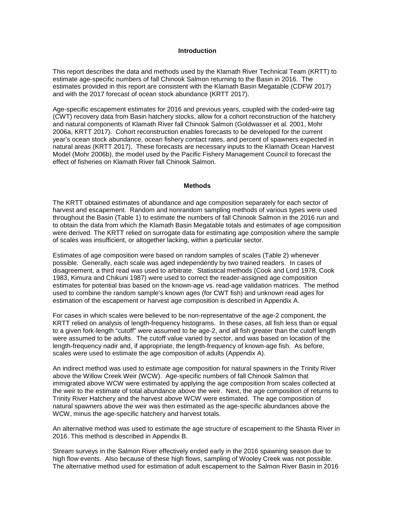#### **Introduction**

This report describes the data and methods used by the Klamath River Technical Team (KRTT) to estimate age-specific numbers of fall Chinook Salmon returning to the Basin in 2016. The estimates provided in this report are consistent with the Klamath Basin Megatable (CDFW 2017) and with the 2017 forecast of ocean stock abundance (KRTT 2017).

Age-specific escapement estimates for 2016 and previous years, coupled with the coded-wire tag (CWT) recovery data from Basin hatchery stocks, allow for a cohort reconstruction of the hatchery and natural components of Klamath River fall Chinook Salmon (Goldwasser et al. 2001, Mohr 2006a, KRTT 2017). Cohort reconstruction enables forecasts to be developed for the current year's ocean stock abundance, ocean fishery contact rates, and percent of spawners expected in natural areas (KRTT 2017). These forecasts are necessary inputs to the Klamath Ocean Harvest Model (Mohr 2006b), the model used by the Pacific Fishery Management Council to forecast the effect of fisheries on Klamath River fall Chinook Salmon.

#### **Methods**

The KRTT obtained estimates of abundance and age composition separately for each sector of harvest and escapement. Random and nonrandom sampling methods of various types were used throughout the Basin (Table 1) to estimate the numbers of fall Chinook Salmon in the 2016 run and to obtain the data from which the Klamath Basin Megatable totals and estimates of age composition were derived. The KRTT relied on surrogate data for estimating age composition where the sample of scales was insufficient, or altogether lacking, within a particular sector.

Estimates of age composition were based on random samples of scales (Table 2) whenever possible. Generally, each scale was aged independently by two trained readers. In cases of disagreement, a third read was used to arbitrate. Statistical methods (Cook and Lord 1978, Cook 1983, Kimura and Chikuni 1987) were used to correct the reader-assigned age composition estimates for potential bias based on the known-age vs. read-age validation matrices. The method used to combine the random sample's known ages (for CWT fish) and unknown read ages for estimation of the escapement or harvest age composition is described in Appendix A.

For cases in which scales were believed to be non-representative of the age-2 component, the KRTT relied on analysis of length-frequency histograms. In these cases, all fish less than or equal to a given fork-length "cutoff" were assumed to be age-2, and all fish greater than the cutoff length were assumed to be adults. The cutoff value varied by sector, and was based on location of the length-frequency nadir and, if appropriate, the length-frequency of known-age fish. As before, scales were used to estimate the age composition of adults (Appendix A).

An indirect method was used to estimate age composition for natural spawners in the Trinity River above the Willow Creek Weir (WCW). Age-specific numbers of fall Chinook Salmon that immigrated above WCW were estimated by applying the age composition from scales collected at the weir to the estimate of total abundance above the weir. Next, the age composition of returns to Trinity River Hatchery and the harvest above WCW were estimated. The age composition of natural spawners above the weir was then estimated as the age-specific abundances above the WCW, minus the age-specific hatchery and harvest totals.

An alternative method was used to estimate the age structure of escapement to the Shasta River in 2016. This method is described in Appendix B.

Stream surveys in the Salmon River effectively ended early in the 2016 spawning season due to high flow events. Also because of these high flows, sampling of Wooley Creek was not possible. The alternative method used for estimation of adult escapement to the Salmon River Basin in 2016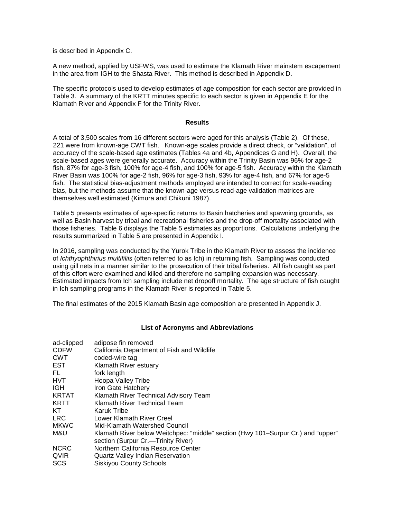is described in Appendix C.

A new method, applied by USFWS, was used to estimate the Klamath River mainstem escapement in the area from IGH to the Shasta River. This method is described in Appendix D.

The specific protocols used to develop estimates of age composition for each sector are provided in Table 3. A summary of the KRTT minutes specific to each sector is given in Appendix E for the Klamath River and Appendix F for the Trinity River.

#### **Results**

A total of 3,500 scales from 16 different sectors were aged for this analysis (Table 2). Of these, 221 were from known-age CWT fish. Known-age scales provide a direct check, or "validation", of accuracy of the scale-based age estimates (Tables 4a and 4b, Appendices G and H). Overall, the scale-based ages were generally accurate. Accuracy within the Trinity Basin was 96% for age-2 fish, 87% for age-3 fish, 100% for age-4 fish, and 100% for age-5 fish. Accuracy within the Klamath River Basin was 100% for age-2 fish, 96% for age-3 fish, 93% for age-4 fish, and 67% for age-5 fish. The statistical bias-adjustment methods employed are intended to correct for scale-reading bias, but the methods assume that the known-age versus read-age validation matrices are themselves well estimated (Kimura and Chikuni 1987).

Table 5 presents estimates of age-specific returns to Basin hatcheries and spawning grounds, as well as Basin harvest by tribal and recreational fisheries and the drop-off mortality associated with those fisheries. Table 6 displays the Table 5 estimates as proportions. Calculations underlying the results summarized in Table 5 are presented in Appendix I.

In 2016, sampling was conducted by the Yurok Tribe in the Klamath River to assess the incidence of *Ichthyophthirius multifiliis* (often referred to as Ich) in returning fish. Sampling was conducted using gill nets in a manner similar to the prosecution of their tribal fisheries. All fish caught as part of this effort were examined and killed and therefore no sampling expansion was necessary. Estimated impacts from Ich sampling include net dropoff mortality. The age structure of fish caught in Ich sampling programs in the Klamath River is reported in Table 5.

The final estimates of the 2015 Klamath Basin age composition are presented in Appendix J.

#### **List of Acronyms and Abbreviations**

| ad-clipped   | adipose fin removed                                                              |
|--------------|----------------------------------------------------------------------------------|
| <b>CDFW</b>  | California Department of Fish and Wildlife                                       |
| <b>CWT</b>   | coded-wire tag                                                                   |
| EST          | Klamath River estuary                                                            |
| FL.          | fork length                                                                      |
| HVT.         | Hoopa Valley Tribe                                                               |
| <b>IGH</b>   | Iron Gate Hatchery                                                               |
| <b>KRTAT</b> | Klamath River Technical Advisory Team                                            |
| <b>KRTT</b>  | Klamath River Technical Team                                                     |
| KT           | Karuk Tribe                                                                      |
| <b>LRC</b>   | Lower Klamath River Creel                                                        |
| <b>MKWC</b>  | Mid-Klamath Watershed Council                                                    |
| M&U          | Klamath River below Weitchpec: "middle" section (Hwy 101–Surpur Cr.) and "upper" |
|              | section (Surpur Cr.—Trinity River)                                               |
| <b>NCRC</b>  | Northern California Resource Center                                              |
| QVIR         | Quartz Valley Indian Reservation                                                 |
| <b>SCS</b>   | <b>Siskiyou County Schools</b>                                                   |
|              |                                                                                  |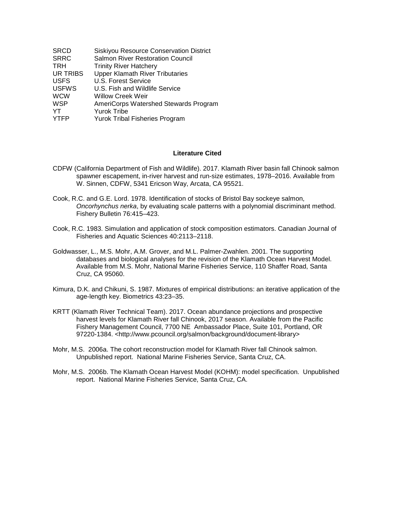| <b>SRCD</b>  | Siskiyou Resource Conservation District |
|--------------|-----------------------------------------|
| <b>SRRC</b>  | <b>Salmon River Restoration Council</b> |
| TRH          | <b>Trinity River Hatchery</b>           |
| UR TRIBS     | <b>Upper Klamath River Tributaries</b>  |
| <b>USFS</b>  | U.S. Forest Service                     |
| <b>USFWS</b> | U.S. Fish and Wildlife Service          |
| <b>WCW</b>   | <b>Willow Creek Weir</b>                |
| <b>WSP</b>   | AmeriCorps Watershed Stewards Program   |
| YT           | <b>Yurok Tribe</b>                      |
| <b>YTFP</b>  | <b>Yurok Tribal Fisheries Program</b>   |

#### **Literature Cited**

- CDFW (California Department of Fish and Wildlife). 2017. Klamath River basin fall Chinook salmon spawner escapement, in-river harvest and run-size estimates, 1978–2016. Available from W. Sinnen, CDFW, 5341 Ericson Way, Arcata, CA 95521.
- Cook, R.C. and G.E. Lord. 1978. Identification of stocks of Bristol Bay sockeye salmon, *Oncorhynchus nerka*, by evaluating scale patterns with a polynomial discriminant method. Fishery Bulletin 76:415–423.
- Cook, R.C. 1983. Simulation and application of stock composition estimators. Canadian Journal of Fisheries and Aquatic Sciences 40:2113–2118.
- Goldwasser, L., M.S. Mohr, A.M. Grover, and M.L. Palmer-Zwahlen. 2001. The supporting databases and biological analyses for the revision of the Klamath Ocean Harvest Model. Available from M.S. Mohr, National Marine Fisheries Service, 110 Shaffer Road, Santa Cruz, CA 95060.
- Kimura, D.K. and Chikuni, S. 1987. Mixtures of empirical distributions: an iterative application of the age-length key. Biometrics 43:23–35.
- KRTT (Klamath River Technical Team). 2017. Ocean abundance projections and prospective harvest levels for Klamath River fall Chinook, 2017 season. Available from the Pacific Fishery Management Council, 7700 NE Ambassador Place, Suite 101, Portland, OR 97220-1384. <http://www.pcouncil.org/salmon/background/document-library>
- Mohr, M.S. 2006a. The cohort reconstruction model for Klamath River fall Chinook salmon. Unpublished report. National Marine Fisheries Service, Santa Cruz, CA.
- Mohr, M.S. 2006b. The Klamath Ocean Harvest Model (KOHM): model specification. Unpublished report. National Marine Fisheries Service, Santa Cruz, CA.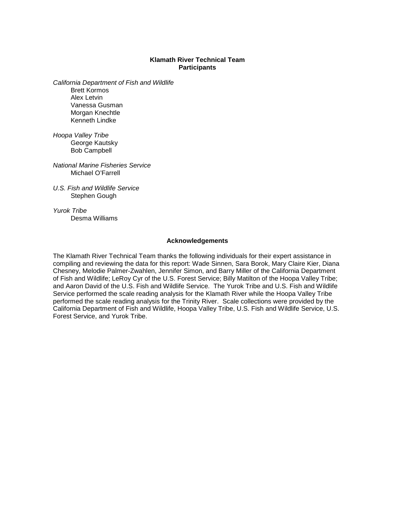#### **Klamath River Technical Team Participants**

*California Department of Fish and Wildlife*

Brett Kormos Alex Letvin Vanessa Gusman Morgan Knechtle Kenneth Lindke

*Hoopa Valley Tribe* George Kautsky Bob Campbell

*National Marine Fisheries Service* Michael O'Farrell

*U.S. Fish and Wildlife Service* Stephen Gough

*Yurok Tribe* Desma Williams

#### **Acknowledgements**

The Klamath River Technical Team thanks the following individuals for their expert assistance in compiling and reviewing the data for this report: Wade Sinnen, Sara Borok, Mary Claire Kier, Diana Chesney, Melodie Palmer-Zwahlen, Jennifer Simon, and Barry Miller of the California Department of Fish and Wildlife; LeRoy Cyr of the U.S. Forest Service; Billy Matilton of the Hoopa Valley Tribe; and Aaron David of the U.S. Fish and Wildlife Service. The Yurok Tribe and U.S. Fish and Wildlife Service performed the scale reading analysis for the Klamath River while the Hoopa Valley Tribe performed the scale reading analysis for the Trinity River. Scale collections were provided by the California Department of Fish and Wildlife, Hoopa Valley Tribe, U.S. Fish and Wildlife Service, U.S. Forest Service, and Yurok Tribe.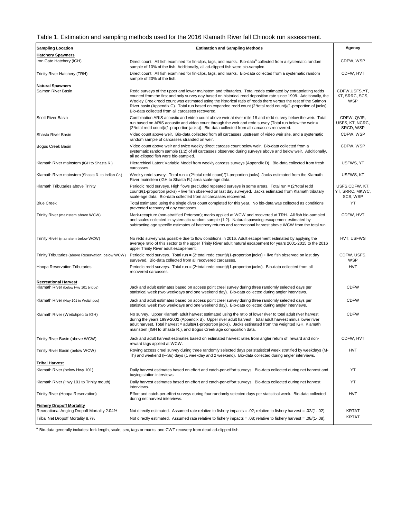#### Table 1. Estimation and sampling methods used for the 2016 Klamath River fall Chinook run assessment.

| <b>Sampling Location</b>                                            | <b>Estimation and Sampling Methods</b>                                                                                                                                                                                                                                                                                                                                                                                                                                                                                 | Agency                                          |
|---------------------------------------------------------------------|------------------------------------------------------------------------------------------------------------------------------------------------------------------------------------------------------------------------------------------------------------------------------------------------------------------------------------------------------------------------------------------------------------------------------------------------------------------------------------------------------------------------|-------------------------------------------------|
| <b>Hatchery Spawners</b>                                            |                                                                                                                                                                                                                                                                                                                                                                                                                                                                                                                        |                                                 |
| Iron Gate Hatchery (IGH)                                            | Direct count. All fish examined for fin-clips, tags, and marks. Bio-data <sup>a</sup> collected from a systematic random<br>sample of 10% of the fish. Additionally, all ad-clipped fish were bio-sampled.                                                                                                                                                                                                                                                                                                             | CDFW, WSP                                       |
| Trinity River Hatchery (TRH)                                        | Direct count. All fish examined for fin-clips, tags, and marks. Bio-data collected from a systematic random<br>sample of 20% of the fish.                                                                                                                                                                                                                                                                                                                                                                              | CDFW, HVT                                       |
| <b>Natural Spawners</b><br>Salmon River Basin                       | Redd surveys of the upper and lower mainstem and tributaries. Total redds estimated by extrapolating redds<br>counted from the first and only survey day based on historical redd deposition rate since 1998. Additionally, the<br>Wooley Creek redd count was estimated using the historical ratio of redds there versus the rest of the Salmon<br>River basin (Appendix C). Total run based on expanded redd count (2*total redd count)/(1-proportion of jacks).<br>Bio-data collected from all carcasses recovered. | CDFW, USFS, YT,<br>KT, SRRC, SCS,<br><b>WSP</b> |
| Scott River Basin                                                   | Combination ARIS acoustic and video count above weir at river mile 18 and redd survey below the weir. Total<br>run based on ARIS acoustic and video count through the weir and redd survey (Total run below the weir $=$<br>(2*total redd count)/(1-proportion jacks)). Bio-data collected from all carcasses recovered.                                                                                                                                                                                               | CDFW, QVIR,<br>USFS, KT, NCRC,<br>SRCD, WSP     |
| Shasta River Basin                                                  | Video count above weir. Bio-data collected from all carcasses upstream of video weir site, and a systematic<br>random sample of carcasses stranded on weir.                                                                                                                                                                                                                                                                                                                                                            | CDFW, WSP                                       |
| Bogus Creek Basin                                                   | Video count above weir and twice weekly direct carcass count below weir. Bio-data collected from a<br>systematic random sample (1:2) of all carcasses observed during surveys above and below weir. Additionally,<br>all ad-clipped fish were bio-sampled.                                                                                                                                                                                                                                                             | CDFW, WSP                                       |
| Klamath River mainstem (IGH to Shasta R.)                           | Hierarchical Latent Variable Model from weekly carcass surveys (Appendix D). Bio-data collected from fresh<br>carcasses.                                                                                                                                                                                                                                                                                                                                                                                               | USFWS, YT                                       |
| Klamath River mainstem (Shasta R. to Indian Cr.)                    | Weekly redd survey. Total run = $(2*total redd count)/(1-proportion jacks).$ Jacks estimated from the Klamath<br>River mainstem (IGH to Shasta R.) area scale-age data.                                                                                                                                                                                                                                                                                                                                                | USFWS, KT                                       |
| Klamath Tributaries above Trinity                                   | Periodic redd surveys. High flows precluded repeated surveys in some areas. Total run = (2*total redd<br>count)/(1-proportion jacks) + live fish observed on last day surveyed. Jacks estimated from Klamath tributary<br>scale-age data. Bio-data collected from all carcasses recovered.                                                                                                                                                                                                                             | USFS,CDFW, KT,<br>YT, SRRC, MKWC,<br>SCS, WSP   |
| <b>Blue Creek</b>                                                   | Total estimated using the single diver count completed for this year. No bio-data was collected as conditions<br>prevented recovery of any carcasses.                                                                                                                                                                                                                                                                                                                                                                  | YT                                              |
| Trinity River (mainstem above WCW)                                  | Mark-recapture (non-stratified Peterson); marks applied at WCW and recovered at TRH. All fish bio-sampled<br>and scales collected in systematic random sample (1:2). Natural spawning escapement estimated by<br>subtracting age specific estimates of hatchery returns and recreational harvest above WCW from the total run.                                                                                                                                                                                         | CDFW, HVT                                       |
| Trinity River (mainstem below WCW)                                  | No redd survey was possible due to flow conditions in 2016. Adult escapement estimated by applying the<br>average ratio of this sector to the upper Trinity River adult natural escapement for years 2001-2015 to the 2016<br>upper Trinity River adult escapement.                                                                                                                                                                                                                                                    | HVT, USFWS                                      |
| Trinity Tributaries (above Reservation; below WCW)                  | Periodic redd surveys. Total run = $(2* total redd count)/(1-proportion jacks) + live fish observed on last day)$<br>surveyed. Bio-data collected from all recovered carcasses.                                                                                                                                                                                                                                                                                                                                        | CDFW, USFS,<br>WSP                              |
| <b>Hoopa Reservation Tributaries</b>                                | Periodic redd surveys. Total run = (2*total redd count)/(1-proportion jacks). Bio-data collected from all<br>recovered carcasses.                                                                                                                                                                                                                                                                                                                                                                                      | <b>HVT</b>                                      |
| <b>Recreational Harvest</b><br>Klamath River (below Hwy 101 bridge) | Jack and adult estimates based on access point creel survey during three randomly selected days per<br>statistical week (two weekdays and one weekend day). Bio-data collected during angler interviews.                                                                                                                                                                                                                                                                                                               | <b>CDFW</b>                                     |
| Klamath River (Hwy 101 to Weitchpec)                                | Jack and adult estimates based on access point creel survey during three randomly selected days per<br>statistical week (two weekdays and one weekend day). Bio-data collected during angler interviews.                                                                                                                                                                                                                                                                                                               | <b>CDFW</b>                                     |
| Klamath River (Weitchpec to IGH)                                    | No survey. Upper Klamath adult harvest estimated using the ratio of lower river to total adult river harvest<br>during the years 1999-2002 (Appendix B). Upper river adult harvest = total adult harvest minus lower river<br>adult harvest. Total harvest = adults/(1-proportion jacks). Jacks estimated from the weighted IGH, Klamath<br>mainstem (IGH to Shasta R.), and Bogus Creek age composition data.                                                                                                         | <b>CDFW</b>                                     |
| Trinity River Basin (above WCW)                                     | Jack and adult harvest estimates based on estimated harvest rates from angler return of reward and non-<br>reward tags applied at WCW.                                                                                                                                                                                                                                                                                                                                                                                 | CDFW, HVT                                       |
| Trinity River Basin (below WCW)                                     | Roving access creel survey during three randomly selected days per statistical week stratified by weekdays (M-<br>Th) and weekend (F-Su) days (1 weekday and 2 weekend). Bio-data collected during angler interviews.                                                                                                                                                                                                                                                                                                  | <b>HVT</b>                                      |
| <b>Tribal Harvest</b>                                               |                                                                                                                                                                                                                                                                                                                                                                                                                                                                                                                        |                                                 |
| Klamath River (below Hwy 101)                                       | Daily harvest estimates based on effort and catch-per-effort surveys. Bio-data collected during net harvest and<br>buying station interviews.                                                                                                                                                                                                                                                                                                                                                                          | YT                                              |
| Klamath River (Hwy 101 to Trinity mouth)                            | Daily harvest estimates based on effort and catch-per-effort surveys. Bio-data collected during net harvest<br>interviews.                                                                                                                                                                                                                                                                                                                                                                                             | YT                                              |
| Trinity River (Hoopa Reservation)                                   | Effort and catch-per-effort surveys during four randomly selected days per statistical week. Bio-data collected<br>during net harvest interviews.                                                                                                                                                                                                                                                                                                                                                                      | <b>HVT</b>                                      |
| <b>Fishery Dropoff Mortality</b>                                    |                                                                                                                                                                                                                                                                                                                                                                                                                                                                                                                        |                                                 |
| Recreational Angling Dropoff Mortality 2.04%                        | Not directly estimated. Assumed rate relative to fishery impacts = .02; relative to fishery harvest = .02/(1-.02).                                                                                                                                                                                                                                                                                                                                                                                                     | <b>KRTAT</b>                                    |
| Tribal Net Dropoff Mortality 8.7%                                   | Not directly estimated. Assumed rate relative to fishery impacts = .08; relative to fishery harvest = .08/(1-.08).                                                                                                                                                                                                                                                                                                                                                                                                     | <b>KRTAT</b>                                    |

<sup>a</sup> Bio-data generally includes: fork length, scale, sex, tags or marks, and CWT recovery from dead ad-clipped fish.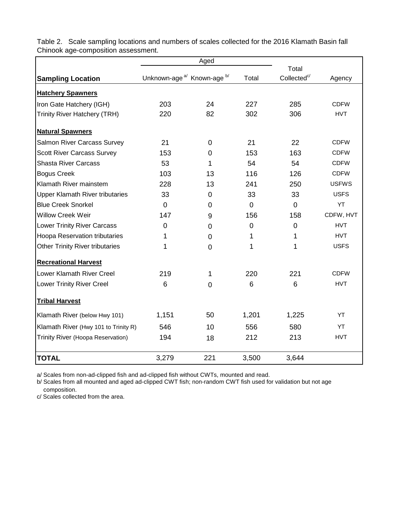|                                        | Aged                                             |                |                |                                  |              |
|----------------------------------------|--------------------------------------------------|----------------|----------------|----------------------------------|--------------|
|                                        | Unknown-age <sup>a</sup> Known-age <sup>b/</sup> |                | Total          | Total<br>Collected <sup>c/</sup> |              |
| <b>Sampling Location</b>               |                                                  |                |                |                                  | Agency       |
| <b>Hatchery Spawners</b>               |                                                  |                |                |                                  |              |
| Iron Gate Hatchery (IGH)               | 203                                              | 24             | 227            | 285                              | <b>CDFW</b>  |
| <b>Trinity River Hatchery (TRH)</b>    | 220                                              | 82             | 302            | 306                              | <b>HVT</b>   |
| <b>Natural Spawners</b>                |                                                  |                |                |                                  |              |
| Salmon River Carcass Survey            | 21                                               | $\mathbf 0$    | 21             | 22                               | <b>CDFW</b>  |
| <b>Scott River Carcass Survey</b>      | 153                                              | $\mathbf 0$    | 153            | 163                              | <b>CDFW</b>  |
| <b>Shasta River Carcass</b>            | 53                                               | 1              | 54             | 54                               | <b>CDFW</b>  |
| <b>Bogus Creek</b>                     | 103                                              | 13             | 116            | 126                              | <b>CDFW</b>  |
| Klamath River mainstem                 | 228                                              | 13             | 241            | 250                              | <b>USFWS</b> |
| <b>Upper Klamath River tributaries</b> | 33                                               | $\overline{0}$ | 33             | 33                               | <b>USFS</b>  |
| <b>Blue Creek Snorkel</b>              | $\Omega$                                         | $\mathbf 0$    | $\overline{0}$ | $\overline{0}$                   | YT           |
| <b>Willow Creek Weir</b>               | 147                                              | 9              | 156            | 158                              | CDFW, HVT    |
| <b>Lower Trinity River Carcass</b>     | $\mathbf 0$                                      | $\Omega$       | 0              | $\overline{0}$                   | <b>HVT</b>   |
| Hoopa Reservation tributaries          | 1                                                | $\mathbf{0}$   | 1              | 1                                | <b>HVT</b>   |
| <b>Other Trinity River tributaries</b> | 1                                                | $\mathbf{0}$   | 1              | 1                                | <b>USFS</b>  |
| <b>Recreational Harvest</b>            |                                                  |                |                |                                  |              |
| Lower Klamath River Creel              | 219                                              | 1              | 220            | 221                              | <b>CDFW</b>  |
| <b>Lower Trinity River Creel</b>       | 6                                                | $\mathbf 0$    | 6              | $6\phantom{1}$                   | <b>HVT</b>   |
| <b>Tribal Harvest</b>                  |                                                  |                |                |                                  |              |
| Klamath River (below Hwy 101)          | 1,151                                            | 50             | 1,201          | 1,225                            | YT           |
| Klamath River (Hwy 101 to Trinity R)   | 546                                              | 10             | 556            | 580                              | YT           |
| Trinity River (Hoopa Reservation)      | 194                                              | 18             | 212            | 213                              | <b>HVT</b>   |
| <b>TOTAL</b>                           | 3,279                                            | 221            | 3,500          | 3,644                            |              |

Table 2. Scale sampling locations and numbers of scales collected for the 2016 Klamath Basin fall Chinook age-composition assessment.

a/ Scales from non-ad-clipped fish and ad-clipped fish without CWTs, mounted and read.

b/ Scales from all mounted and aged ad-clipped CWT fish; non-random CWT fish used for validation but not age composition.

c/ Scales collected from the area.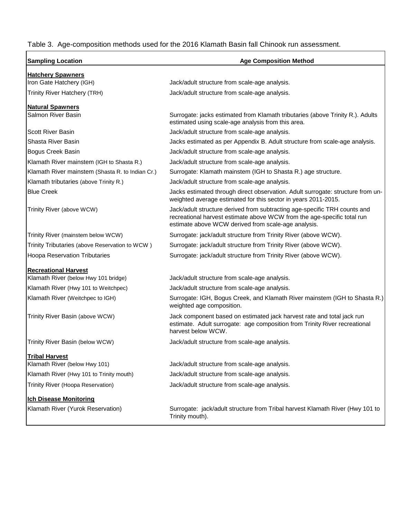### Table 3. Age-composition methods used for the 2016 Klamath Basin fall Chinook run assessment.

| <b>Sampling Location</b>                         | <b>Age Composition Method</b>                                                                                                                                                                               |  |  |  |  |
|--------------------------------------------------|-------------------------------------------------------------------------------------------------------------------------------------------------------------------------------------------------------------|--|--|--|--|
| <b>Hatchery Spawners</b>                         |                                                                                                                                                                                                             |  |  |  |  |
| Iron Gate Hatchery (IGH)                         | Jack/adult structure from scale-age analysis.                                                                                                                                                               |  |  |  |  |
| Trinity River Hatchery (TRH)                     | Jack/adult structure from scale-age analysis.                                                                                                                                                               |  |  |  |  |
| <b>Natural Spawners</b>                          |                                                                                                                                                                                                             |  |  |  |  |
| Salmon River Basin                               | Surrogate: jacks estimated from Klamath tributaries (above Trinity R.). Adults<br>estimated using scale-age analysis from this area.                                                                        |  |  |  |  |
| <b>Scott River Basin</b>                         | Jack/adult structure from scale-age analysis.                                                                                                                                                               |  |  |  |  |
| Shasta River Basin                               | Jacks estimated as per Appendix B. Adult structure from scale-age analysis.                                                                                                                                 |  |  |  |  |
| Bogus Creek Basin                                | Jack/adult structure from scale-age analysis.                                                                                                                                                               |  |  |  |  |
| Klamath River mainstem (IGH to Shasta R.)        | Jack/adult structure from scale-age analysis.                                                                                                                                                               |  |  |  |  |
| Klamath River mainstem (Shasta R. to Indian Cr.) | Surrogate: Klamath mainstem (IGH to Shasta R.) age structure.                                                                                                                                               |  |  |  |  |
| Klamath tributaries (above Trinity R.)           | Jack/adult structure from scale-age analysis.                                                                                                                                                               |  |  |  |  |
| <b>Blue Creek</b>                                | Jacks estimated through direct observation. Adult surrogate: structure from un-<br>weighted average estimated for this sector in years 2011-2015.                                                           |  |  |  |  |
| Trinity River (above WCW)                        | Jack/adult structure derived from subtracting age-specific TRH counts and<br>recreational harvest estimate above WCW from the age-specific total run<br>estimate above WCW derived from scale-age analysis. |  |  |  |  |
| Trinity River (mainstem below WCW)               | Surrogate: jack/adult structure from Trinity River (above WCW).                                                                                                                                             |  |  |  |  |
| Trinity Tributaries (above Reservation to WCW)   | Surrogate: jack/adult structure from Trinity River (above WCW).                                                                                                                                             |  |  |  |  |
| <b>Hoopa Reservation Tributaries</b>             | Surrogate: jack/adult structure from Trinity River (above WCW).                                                                                                                                             |  |  |  |  |
| <b>Recreational Harvest</b>                      |                                                                                                                                                                                                             |  |  |  |  |
| Klamath River (below Hwy 101 bridge)             | Jack/adult structure from scale-age analysis.                                                                                                                                                               |  |  |  |  |
| Klamath River (Hwy 101 to Weitchpec)             | Jack/adult structure from scale-age analysis.                                                                                                                                                               |  |  |  |  |
| Klamath River (Weitchpec to IGH)                 | Surrogate: IGH, Bogus Creek, and Klamath River mainstem (IGH to Shasta R.)<br>weighted age composition.                                                                                                     |  |  |  |  |
| Trinity River Basin (above WCW)                  | Jack component based on estimated jack harvest rate and total jack run<br>estimate. Adult surrogate: age composition from Trinity River recreational<br>harvest below WCW.                                  |  |  |  |  |
| Trinity River Basin (below WCW)                  | Jack/adult structure from scale-age analysis.                                                                                                                                                               |  |  |  |  |
| <b>Tribal Harvest</b>                            |                                                                                                                                                                                                             |  |  |  |  |
| Klamath River (below Hwy 101)                    | Jack/adult structure from scale-age analysis.                                                                                                                                                               |  |  |  |  |
| Klamath River (Hwy 101 to Trinity mouth)         | Jack/adult structure from scale-age analysis.                                                                                                                                                               |  |  |  |  |
| Trinity River (Hoopa Reservation)                | Jack/adult structure from scale-age analysis.                                                                                                                                                               |  |  |  |  |
| <b>Ich Disease Monitoring</b>                    |                                                                                                                                                                                                             |  |  |  |  |
| Klamath River (Yurok Reservation)                | Surrogate: jack/adult structure from Tribal harvest Klamath River (Hwy 101 to<br>Trinity mouth).                                                                                                            |  |  |  |  |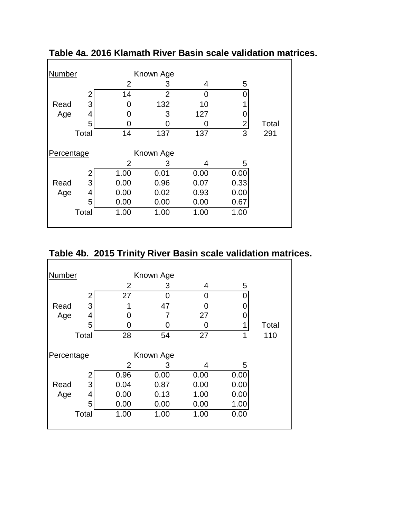| Number     |       |      | Known Age      |      |      |       |
|------------|-------|------|----------------|------|------|-------|
|            |       | 2    | 3              | 4    | 5    |       |
|            | 2     | 14   | $\overline{2}$ | ∩    |      |       |
| Read       | 3     | O    | 132            | 10   |      |       |
| Age        | 4     | ( )  | 3              | 127  |      |       |
|            | 5     | Ⴖ    | ი              | O    | 2    | Total |
|            | Total | 14   | 137            | 137  | 3    | 291   |
|            |       |      |                |      |      |       |
| Percentage |       |      | Known Age      |      |      |       |
|            |       | 2    | 3              | 4    | 5    |       |
|            | 2     | 1.00 | 0.01           | 0.00 | 0.00 |       |
| Read       | 3     | 0.00 | 0.96           | 0.07 | 0.33 |       |
| Age        | 4     | 0.00 | 0.02           | 0.93 | 0.00 |       |
|            | 5     | 0.00 | 0.00           | 0.00 | 0.67 |       |
|            | Total | 1.00 | 1.00           | 1.00 | 1.00 |       |
|            |       |      |                |      |      |       |

**Table 4a. 2016 Klamath River Basin scale validation matrices.**

# **Table 4b. 2015 Trinity River Basin scale validation matrices.**

| <b>Number</b> |       |                | Known Age |      |      |       |
|---------------|-------|----------------|-----------|------|------|-------|
|               |       | $\overline{2}$ | З         | 4    | 5    |       |
|               | 2     | 27             | 0         | 0    |      |       |
| Read          | 3     |                | 47        | 0    |      |       |
| Age           | 4     | ( )            |           | 27   |      |       |
|               | 5     | U              |           | O    |      | Total |
|               | Total | 28             | 54        | 27   | 1    | 110   |
| Percentage    |       |                | Known Age |      |      |       |
|               |       | $\overline{2}$ | 3         | 4    | 5    |       |
|               | 2     | 0.96           | 0.00      | 0.00 | 0.00 |       |
| Read          | 3     | 0.04           | 0.87      | 0.00 | 0.00 |       |
| Age           | 4     | 0.00           | 0.13      | 1.00 | 0.00 |       |
|               | 5     | 0.00           | 0.00      | 0.00 | 1.00 |       |
|               | Total | 1.00           | 1.00      | 1.00 | 0.00 |       |
|               |       |                |           |      |      |       |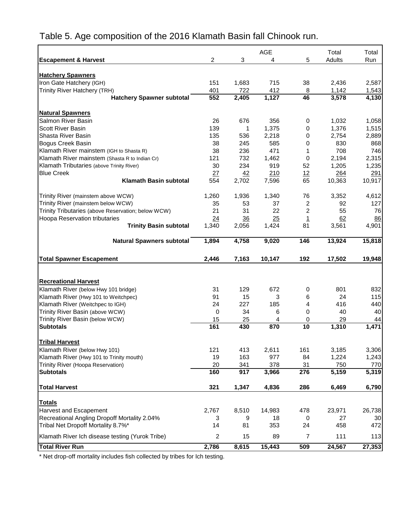# Table 5. Age composition of the 2016 Klamath Basin fall Chinook run.

|                                                                           |                         |             | <b>AGE</b>   |                | Total         | Total                  |
|---------------------------------------------------------------------------|-------------------------|-------------|--------------|----------------|---------------|------------------------|
| <b>Escapement &amp; Harvest</b>                                           | $\overline{c}$          | 3           | 4            | 5              | Adults        | Run                    |
|                                                                           |                         |             |              |                |               |                        |
| <b>Hatchery Spawners</b><br>Iron Gate Hatchery (IGH)                      | 151                     | 1,683       | 715          | 38             | 2,436         | 2,587                  |
| Trinity River Hatchery (TRH)                                              | 401                     | 722         | 412          | 8              | 1,142         | 1,543                  |
| <b>Hatchery Spawner subtotal</b>                                          | 552                     | 2,405       | 1,127        | 46             | 3,578         | 4,130                  |
|                                                                           |                         |             |              |                |               |                        |
| <b>Natural Spawners</b>                                                   |                         |             |              |                |               |                        |
| Salmon River Basin                                                        | 26                      | 676         | 356          | 0              | 1,032         | 1,058                  |
| <b>Scott River Basin</b>                                                  | 139                     | 1           | 1,375        | 0              | 1,376         | 1,515                  |
| Shasta River Basin                                                        | 135                     | 536         | 2,218        | 0              | 2,754         | 2,889                  |
| <b>Bogus Creek Basin</b>                                                  | 38                      | 245         | 585          | 0              | 830           | 868                    |
| Klamath River mainstem (IGH to Shasta R)                                  | 38                      | 236         | 471          | 1              | 708           | 746                    |
| Klamath River mainstem (Shasta R to Indian Cr)                            | 121                     | 732         | 1,462        | 0              | 2,194         | 2,315                  |
| Klamath Tributaries (above Trinity River)                                 | 30                      | 234         | 919          | 52             | 1,205         | 1,235                  |
| <b>Blue Creek</b>                                                         | 27                      | 42          | 210          | 12             | 264           | 291                    |
| <b>Klamath Basin subtotal</b>                                             | 554                     | 2,702       | 7,596        | 65             | 10,363        | 10,917                 |
| Trinity River (mainstem above WCW)                                        | 1,260                   | 1,936       | 1,340        | 76             | 3,352         | 4,612                  |
| Trinity River (mainstem below WCW)                                        | 35                      | 53          | 37           | 2              | 92            | 127                    |
| Trinity Tributaries (above Reservation; below WCW)                        | 21                      | 31          | 22           | $\overline{c}$ | 55            | 76                     |
| Hoopa Reservation tributaries                                             | 24                      | 36          | 25           | $\overline{1}$ | 62            | 86                     |
| <b>Trinity Basin subtotal</b>                                             | 1,340                   | 2,056       | 1,424        | 81             | 3,561         | 4,901                  |
| <b>Natural Spawners subtotal</b>                                          | 1,894                   | 4,758       | 9,020        | 146            | 13,924        | 15,818                 |
|                                                                           |                         |             |              |                |               |                        |
| <b>Total Spawner Escapement</b>                                           | 2,446                   | 7,163       | 10,147       | 192            | 17,502        | 19,948                 |
|                                                                           |                         |             |              |                |               |                        |
| <b>Recreational Harvest</b>                                               |                         |             |              |                |               |                        |
| Klamath River (below Hwy 101 bridge)                                      | 31                      | 129         | 672          | 0              | 801           | 832                    |
| Klamath River (Hwy 101 to Weitchpec)                                      | 91                      | 15          | 3            | 6              | 24            | 115                    |
| Klamath River (Weitchpec to IGH)                                          | 24                      | 227         | 185          | 4              | 416           | 440                    |
| Trinity River Basin (above WCW)                                           | 0                       | 34          | 6            | 0              | 40            | 40                     |
| Trinity River Basin (below WCW)                                           | 15                      | 25          | 4            | 0              | 29            | 44                     |
| <b>Subtotals</b>                                                          | 161                     | 430         | 870          | 10             | 1,310         | 1,471                  |
|                                                                           |                         |             |              |                |               |                        |
| <b>Tribal Harvest</b>                                                     |                         |             |              |                |               |                        |
| Klamath River (below Hwy 101)                                             | 121                     | 413         | 2,611        | 161            | 3,185         |                        |
| Klamath River (Hwy 101 to Trinity mouth)                                  | 19                      | 163         | 977          | 84             | 1,224         | 3,306<br>1,243         |
| Trinity River (Hoopa Reservation)<br><b>Subtotals</b>                     | 20<br>160               | 341<br>917  | 378<br>3,966 | 31<br>276      | 750<br>5,159  | 770<br>5,319           |
|                                                                           |                         |             |              |                |               |                        |
| <b>Total Harvest</b>                                                      | 321                     | 1,347       | 4,836        | 286            | 6,469         |                        |
| <b>Totals</b>                                                             |                         |             |              |                |               |                        |
| <b>Harvest and Escapement</b>                                             | 2,767                   | 8,510       | 14,983       | 478            | 23,971        | 26,738                 |
| Recreational Angling Dropoff Mortality 2.04%                              | 3                       | 9           | 18           | 0              | 27            | 30                     |
| Tribal Net Dropoff Mortality 8.7%*                                        | 14                      | 81          | 353          | 24             | 458           | 472                    |
| Klamath River Ich disease testing (Yurok Tribe)<br><b>Total River Run</b> | $\overline{c}$<br>2,786 | 15<br>8,615 | 89<br>15,443 | 7<br>509       | 111<br>24,567 | 6,790<br>113<br>27,353 |

\* Net drop-off mortality includes fish collected by tribes for Ich testing.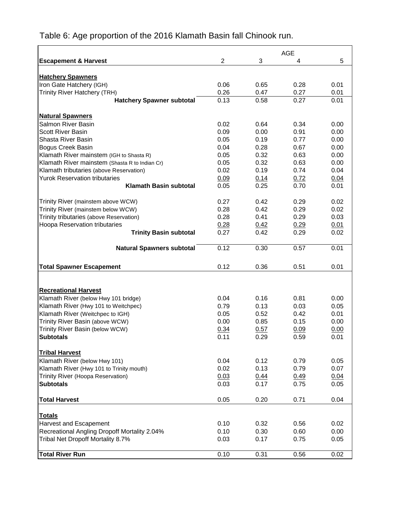|                                                |                |              | <b>AGE</b>   |              |
|------------------------------------------------|----------------|--------------|--------------|--------------|
| <b>Escapement &amp; Harvest</b>                | $\overline{2}$ | 3            | 4            | 5            |
|                                                |                |              |              |              |
| <b>Hatchery Spawners</b>                       |                |              |              |              |
| Iron Gate Hatchery (IGH)                       | 0.06           | 0.65         | 0.28         | 0.01         |
| Trinity River Hatchery (TRH)                   | 0.26           | 0.47         | 0.27         | 0.01         |
| <b>Hatchery Spawner subtotal</b>               | 0.13           | 0.58         | 0.27         | 0.01         |
|                                                |                |              |              |              |
| <b>Natural Spawners</b><br>Salmon River Basin  | 0.02           |              |              |              |
| <b>Scott River Basin</b>                       | 0.09           | 0.64<br>0.00 | 0.34<br>0.91 | 0.00<br>0.00 |
| Shasta River Basin                             | 0.05           | 0.19         | 0.77         | 0.00         |
| Bogus Creek Basin                              | 0.04           | 0.28         | 0.67         | 0.00         |
| Klamath River mainstem (IGH to Shasta R)       | 0.05           | 0.32         | 0.63         | 0.00         |
| Klamath River mainstem (Shasta R to Indian Cr) | 0.05           | 0.32         | 0.63         | 0.00         |
| Klamath tributaries (above Reservation)        | 0.02           | 0.19         | 0.74         | 0.04         |
| <b>Yurok Reservation tributaries</b>           | 0.09           | 0.14         | 0.72         | 0.04         |
| <b>Klamath Basin subtotal</b>                  | 0.05           | 0.25         | 0.70         | 0.01         |
|                                                |                |              |              |              |
| Trinity River (mainstem above WCW)             | 0.27           | 0.42         | 0.29         | 0.02         |
| Trinity River (mainstem below WCW)             | 0.28           | 0.42         | 0.29         | 0.02         |
| Trinity tributaries (above Reservation)        | 0.28           | 0.41         | 0.29         | 0.03         |
| Hoopa Reservation tributaries                  | 0.28           | 0.42         | 0.29         | 0.01         |
| <b>Trinity Basin subtotal</b>                  | 0.27           | 0.42         | 0.29         | 0.02         |
| <b>Natural Spawners subtotal</b>               | 0.12           | 0.30         | 0.57         | 0.01         |
|                                                |                |              |              |              |
| <b>Total Spawner Escapement</b>                | 0.12           | 0.36         | 0.51         | 0.01         |
|                                                |                |              |              |              |
|                                                |                |              |              |              |
| <b>Recreational Harvest</b>                    |                |              |              |              |
| Klamath River (below Hwy 101 bridge)           | 0.04           | 0.16         | 0.81         | 0.00         |
| Klamath River (Hwy 101 to Weitchpec)           | 0.79           | 0.13         | 0.03         | 0.05         |
| Klamath River (Weitchpec to IGH)               | 0.05           | 0.52         | 0.42         | 0.01         |
| Trinity River Basin (above WCW)                | 0.00           | 0.85         | 0.15         | 0.00         |
| Trinity River Basin (below WCW)                | 0.34           | 0.57         | 0.09         | 0.00         |
| <b>Subtotals</b>                               | 0.11           | 0.29         | 0.59         | 0.01         |
| <b>Tribal Harvest</b>                          |                |              |              |              |
| Klamath River (below Hwy 101)                  | 0.04           | 0.12         | 0.79         | 0.05         |
| Klamath River (Hwy 101 to Trinity mouth)       | 0.02           | 0.13         | 0.79         | 0.07         |
| Trinity River (Hoopa Reservation)              | 0.03           | 0.44         | 0.49         | 0.04         |
| <b>Subtotals</b>                               | 0.03           | 0.17         | 0.75         | 0.05         |
|                                                |                |              |              |              |
| <b>Total Harvest</b>                           | 0.05           | 0.20         | 0.71         | 0.04         |
| <b>Totals</b>                                  |                |              |              |              |
| Harvest and Escapement                         | 0.10           | 0.32         | 0.56         | 0.02         |
| Recreational Angling Dropoff Mortality 2.04%   | 0.10           | 0.30         | 0.60         | 0.00         |
| Tribal Net Dropoff Mortality 8.7%              | 0.03           | 0.17         | 0.75         | 0.05         |
|                                                |                |              |              |              |
| <b>Total River Run</b>                         | 0.10           | 0.31         | 0.56         | 0.02         |

# Table 6: Age proportion of the 2016 Klamath Basin fall Chinook run.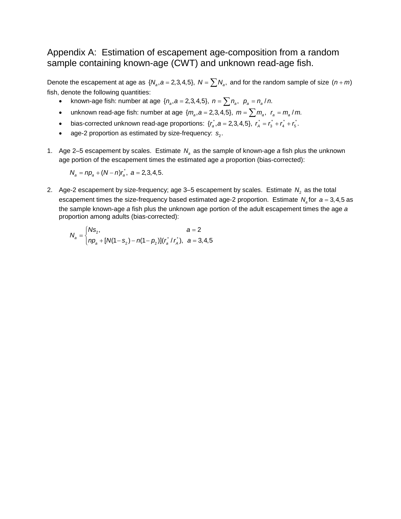# Appendix A: Estimation of escapement age-composition from a random sample containing known-age (CWT) and unknown read-age fish.

Denote the escapement at age as  $\{N_a, a = 2, 3, 4, 5\}$ ,  $N = \sum N_a$ , and for the random sample of size  $(n + m)$ fish, denote the following quantities:

- known-age fish: number at age  $\{n_a, a = 2, 3, 4, 5\}$ ,  $n = \sum n_a$ ,  $p_a = n_a / n$ .
- unknown read-age fish: number at age  $\{m_a, a = 2, 3, 4, 5\}$ ,  $m = \sum m_a$ ,  $r_a = m_a / m$ .
- bias-corrected unknown read-age proportions:  $\{r_a, a = 2, 3, 4, 5\}$ ,  $r_a = r_a + r_a + r_b$ .
- age-2 proportion as estimated by size-frequency:  $s_2$ .
- 1. Age 2–5 escapement by scales. Estimate  $N_a$  as the sample of known-age *a* fish plus the unknown age portion of the escapement times the estimated age *a* proportion (bias-corrected):

 $N_a = np_a + (N - n)r_a$ ,  $a = 2,3,4,5$ .

2. Age-2 escapement by size-frequency; age  $3-5$  escapement by scales. Estimate  $N_2$  as the total escapement times the size-frequency based estimated age-2 proportion. Estimate  $N_a$  for  $a = 3, 4, 5$  as the sample known-age *a* fish plus the unknown age portion of the adult escapement times the age *a* proportion among adults (bias-corrected):

$$
N_a = \begin{cases} N s_2, & a = 2 \\ np_a + [N(1 - s_2) - n(1 - p_2)](r_a^* / r_A^*), & a = 3, 4, 5 \end{cases}
$$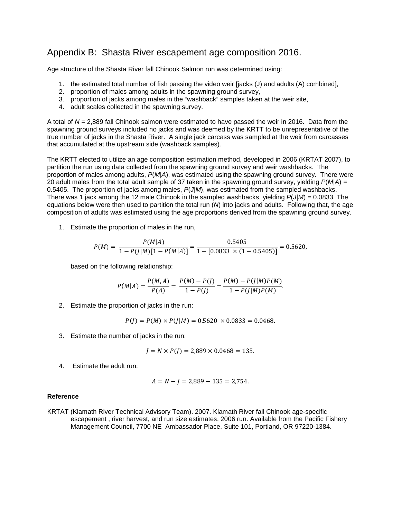## Appendix B: Shasta River escapement age composition 2016.

Age structure of the Shasta River fall Chinook Salmon run was determined using:

- 1. the estimated total number of fish passing the video weir [jacks (J) and adults (A) combined],
- 2. proportion of males among adults in the spawning ground survey,
- 3. proportion of jacks among males in the "washback" samples taken at the weir site,
- 4. adult scales collected in the spawning survey.

A total of *N =* 2,889 fall Chinook salmon were estimated to have passed the weir in 2016. Data from the spawning ground surveys included no jacks and was deemed by the KRTT to be unrepresentative of the true number of jacks in the Shasta River. A single jack carcass was sampled at the weir from carcasses that accumulated at the upstream side (washback samples).

The KRTT elected to utilize an age composition estimation method, developed in 2006 (KRTAT 2007), to partition the run using data collected from the spawning ground survey and weir washbacks. The proportion of males among adults, *P*(*M|A*), was estimated using the spawning ground survey. There were 20 adult males from the total adult sample of 37 taken in the spawning ground survey, yielding *P*(*M|A*) *=*  0.5405. The proportion of jacks among males, *P*(*J|M*), was estimated from the sampled washbacks. There was 1 jack among the 12 male Chinook in the sampled washbacks, yielding *P*(*J|M*) = 0.0833. The equations below were then used to partition the total run (*N*) into jacks and adults. Following that, the age composition of adults was estimated using the age proportions derived from the spawning ground survey.

1. Estimate the proportion of males in the run,

$$
P(M) = \frac{P(M|A)}{1 - P(J|M)[1 - P(M|A)]} = \frac{0.5405}{1 - [0.0833 \times (1 - 0.5405)]} = 0.5620,
$$

based on the following relationship:

$$
P(M|A) = \frac{P(M,A)}{P(A)} = \frac{P(M) - P(J)}{1 - P(J)} = \frac{P(M) - P(J|M)P(M)}{1 - P(J|M)P(M)}.
$$

2. Estimate the proportion of jacks in the run:

$$
P(J) = P(M) \times P(J|M) = 0.5620 \times 0.0833 = 0.0468.
$$

3. Estimate the number of jacks in the run:

$$
J = N \times P(J) = 2,889 \times 0.0468 = 135.
$$

4. Estimate the adult run:

$$
A = N - J = 2,889 - 135 = 2,754.
$$

#### **Reference**

KRTAT (Klamath River Technical Advisory Team). 2007. Klamath River fall Chinook age-specific escapement , river harvest, and run size estimates, 2006 run. Available from the Pacific Fishery Management Council, 7700 NE Ambassador Place, Suite 101, Portland, OR 97220-1384.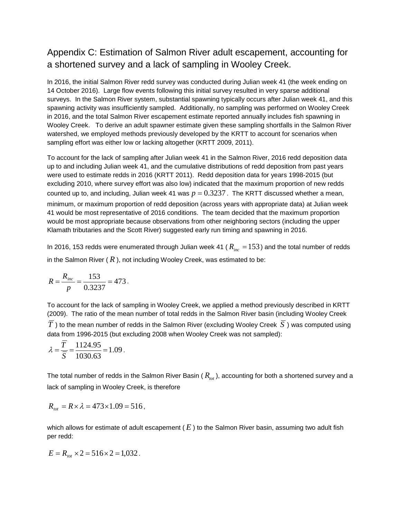# Appendix C: Estimation of Salmon River adult escapement, accounting for a shortened survey and a lack of sampling in Wooley Creek.

In 2016, the initial Salmon River redd survey was conducted during Julian week 41 (the week ending on 14 October 2016). Large flow events following this initial survey resulted in very sparse additional surveys. In the Salmon River system, substantial spawning typically occurs after Julian week 41, and this spawning activity was insufficiently sampled. Additionally, no sampling was performed on Wooley Creek in 2016, and the total Salmon River escapement estimate reported annually includes fish spawning in Wooley Creek. To derive an adult spawner estimate given these sampling shortfalls in the Salmon River watershed, we employed methods previously developed by the KRTT to account for scenarios when sampling effort was either low or lacking altogether (KRTT 2009, 2011).

To account for the lack of sampling after Julian week 41 in the Salmon River, 2016 redd deposition data up to and including Julian week 41, and the cumulative distributions of redd deposition from past years were used to estimate redds in 2016 (KRTT 2011). Redd deposition data for years 1998-2015 (but excluding 2010, where survey effort was also low) indicated that the maximum proportion of new redds counted up to, and including, Julian week 41 was  $p = 0.3237$ . The KRTT discussed whether a mean, minimum, or maximum proportion of redd deposition (across years with appropriate data) at Julian week 41 would be most representative of 2016 conditions. The team decided that the maximum proportion would be most appropriate because observations from other neighboring sectors (including the upper Klamath tributaries and the Scott River) suggested early run timing and spawning in 2016.

In 2016, 153 redds were enumerated through Julian week 41 ( $R_{inc} = 153$ ) and the total number of redds in the Salmon River  $(R)$ , not including Wooley Creek, was estimated to be:

$$
R = \frac{R_{inc}}{p} = \frac{153}{0.3237} = 473.
$$

To account for the lack of sampling in Wooley Creek, we applied a method previously described in KRTT (2009). The ratio of the mean number of total redds in the Salmon River basin (including Wooley Creek  $\overline{T}$ ) to the mean number of redds in the Salmon River (excluding Wooley Creek  $\overline{S}$ ) was computed using data from 1996-2015 (but excluding 2008 when Wooley Creek was not sampled):

$$
\lambda = \frac{\overline{T}}{\overline{S}} = \frac{1124.95}{1030.63} = 1.09.
$$

The total number of redds in the Salmon River Basin  $(R_{tot})$ , accounting for both a shortened survey and a lack of sampling in Wooley Creek, is therefore

$$
R_{\rm tot} = R \times \lambda = 473 \times 1.09 = 516,
$$

which allows for estimate of adult escapement ( $E$ ) to the Salmon River basin, assuming two adult fish per redd:

$$
E = R_{\text{tot}} \times 2 = 516 \times 2 = 1,032.
$$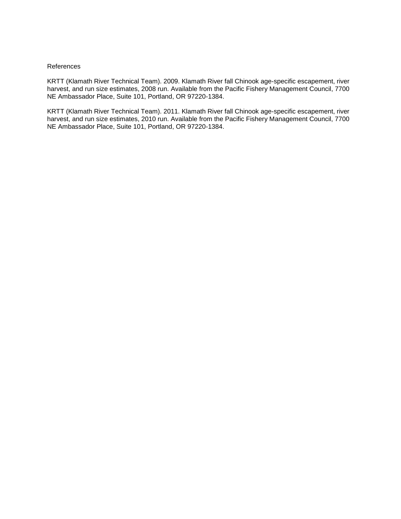#### References

KRTT (Klamath River Technical Team). 2009. Klamath River fall Chinook age-specific escapement, river harvest, and run size estimates, 2008 run. Available from the Pacific Fishery Management Council, 7700 NE Ambassador Place, Suite 101, Portland, OR 97220-1384.

KRTT (Klamath River Technical Team). 2011. Klamath River fall Chinook age-specific escapement, river harvest, and run size estimates, 2010 run. Available from the Pacific Fishery Management Council, 7700 NE Ambassador Place, Suite 101, Portland, OR 97220-1384.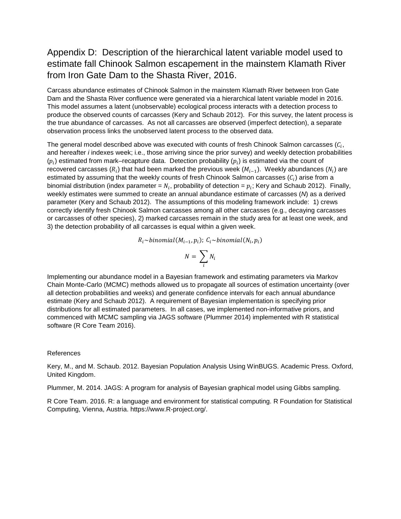# Appendix D: Description of the hierarchical latent variable model used to estimate fall Chinook Salmon escapement in the mainstem Klamath River from Iron Gate Dam to the Shasta River, 2016.

Carcass abundance estimates of Chinook Salmon in the mainstem Klamath River between Iron Gate Dam and the Shasta River confluence were generated via a hierarchical latent variable model in 2016. This model assumes a latent (unobservable) ecological process interacts with a detection process to produce the observed counts of carcasses (Kery and Schaub 2012). For this survey, the latent process is the true abundance of carcasses. As not all carcasses are observed (imperfect detection), a separate observation process links the unobserved latent process to the observed data.

The general model described above was executed with counts of fresh Chinook Salmon carcasses  $(C_i,$ and hereafter *i* indexes week; i.e., those arriving since the prior survey) and weekly detection probabilities  $(p_i)$  estimated from mark–recapture data. Detection probability  $(p_i)$  is estimated via the count of recovered carcasses  $(R_i)$  that had been marked the previous week  $(M_{i-1})$ . Weekly abundances  $(N_i)$  are estimated by assuming that the weekly counts of fresh Chinook Salmon carcasses  $(C_i)$  arise from a binomial distribution (index parameter =  $N_i$ , probability of detection =  $p_i$ ; Kery and Schaub 2012). Finally, weekly estimates were summed to create an annual abundance estimate of carcasses (*N*) as a derived parameter (Kery and Schaub 2012). The assumptions of this modeling framework include: 1) crews correctly identify fresh Chinook Salmon carcasses among all other carcasses (e.g., decaying carcasses or carcasses of other species), 2) marked carcasses remain in the study area for at least one week, and 3) the detection probability of all carcasses is equal within a given week.

$$
R_i \sim binomial(M_{i-1}, p_i); C_i \sim binomial(N_i, p_i)
$$

$$
N = \sum_i N_i
$$

Implementing our abundance model in a Bayesian framework and estimating parameters via Markov Chain Monte-Carlo (MCMC) methods allowed us to propagate all sources of estimation uncertainty (over all detection probabilities and weeks) and generate confidence intervals for each annual abundance estimate (Kery and Schaub 2012). A requirement of Bayesian implementation is specifying prior distributions for all estimated parameters. In all cases, we implemented non-informative priors, and commenced with MCMC sampling via JAGS software (Plummer 2014) implemented with R statistical software (R Core Team 2016).

#### References

Kery, M., and M. Schaub. 2012. Bayesian Population Analysis Using WinBUGS. Academic Press. Oxford, United Kingdom.

Plummer, M. 2014. JAGS: A program for analysis of Bayesian graphical model using Gibbs sampling.

R Core Team. 2016. R: a language and environment for statistical computing. R Foundation for Statistical Computing, Vienna, Austria. https://www.R-project.org/.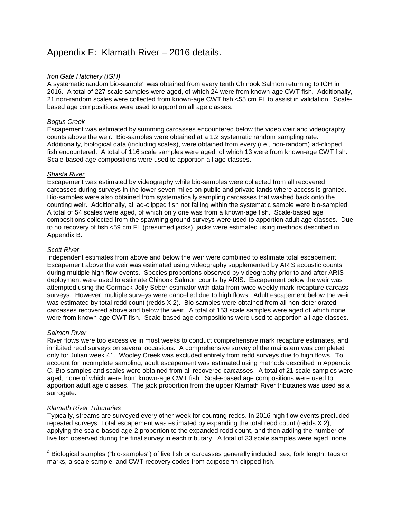# Appendix E: Klamath River – 2016 details.

#### *Iron Gate Hatchery (IGH)*

A system[a](#page-16-0)tic random bio-sample<sup>a</sup> was obtained from every tenth Chinook Salmon returning to IGH in 2016. A total of 227 scale samples were aged, of which 24 were from known-age CWT fish. Additionally, 21 non-random scales were collected from known-age CWT fish <55 cm FL to assist in validation. Scalebased age compositions were used to apportion all age classes.

#### *Bogus Creek*

Escapement was estimated by summing carcasses encountered below the video weir and videography counts above the weir. Bio-samples were obtained at a 1:2 systematic random sampling rate. Additionally, biological data (including scales), were obtained from every (i.e., non-random) ad-clipped fish encountered. A total of 116 scale samples were aged, of which 13 were from known-age CWT fish. Scale-based age compositions were used to apportion all age classes.

#### *Shasta River*

Escapement was estimated by videography while bio-samples were collected from all recovered carcasses during surveys in the lower seven miles on public and private lands where access is granted. Bio-samples were also obtained from systematically sampling carcasses that washed back onto the counting weir. Additionally, all ad-clipped fish not falling within the systematic sample were bio-sampled. A total of 54 scales were aged, of which only one was from a known-age fish. Scale-based age compositions collected from the spawning ground surveys were used to apportion adult age classes. Due to no recovery of fish <59 cm FL (presumed jacks), jacks were estimated using methods described in Appendix B.

#### *Scott River*

Independent estimates from above and below the weir were combined to estimate total escapement. Escapement above the weir was estimated using videography supplemented by ARIS acoustic counts during multiple high flow events. Species proportions observed by videography prior to and after ARIS deployment were used to estimate Chinook Salmon counts by ARIS. Escapement below the weir was attempted using the Cormack-Jolly-Seber estimator with data from twice weekly mark-recapture carcass surveys. However, multiple surveys were cancelled due to high flows. Adult escapement below the weir was estimated by total redd count (redds X 2). Bio-samples were obtained from all non-deteriorated carcasses recovered above and below the weir. A total of 153 scale samples were aged of which none were from known-age CWT fish. Scale-based age compositions were used to apportion all age classes.

#### *Salmon River*

River flows were too excessive in most weeks to conduct comprehensive mark recapture estimates, and inhibited redd surveys on several occasions. A comprehensive survey of the mainstem was completed only for Julian week 41. Wooley Creek was excluded entirely from redd surveys due to high flows. To account for incomplete sampling, adult escapement was estimated using methods described in Appendix C. Bio-samples and scales were obtained from all recovered carcasses. A total of 21 scale samples were aged, none of which were from known-age CWT fish. Scale-based age compositions were used to apportion adult age classes. The jack proportion from the upper Klamath River tributaries was used as a surrogate.

#### *Klamath River Tributaries*

Typically, streams are surveyed every other week for counting redds. In 2016 high flow events precluded repeated surveys. Total escapement was estimated by expanding the total redd count (redds X 2), applying the scale-based age-2 proportion to the expanded redd count, and then adding the number of live fish observed during the final survey in each tributary. A total of 33 scale samples were aged, none

<span id="page-16-0"></span><sup>&</sup>lt;sup>a</sup> Biological samples ("bio-samples") of live fish or carcasses generally included: sex, fork length, tags or marks, a scale sample, and CWT recovery codes from adipose fin-clipped fish.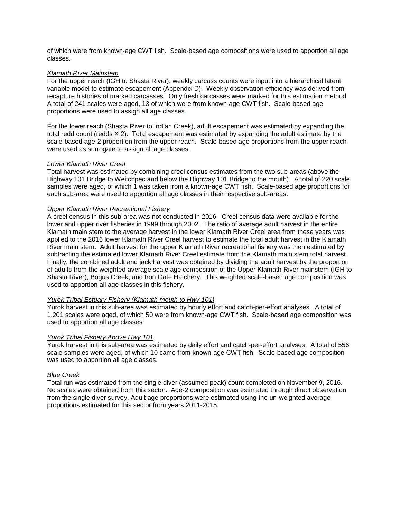of which were from known-age CWT fish. Scale-based age compositions were used to apportion all age classes.

#### *Klamath River Mainstem*

For the upper reach (IGH to Shasta River), weekly carcass counts were input into a hierarchical latent variable model to estimate escapement (Appendix D). Weekly observation efficiency was derived from recapture histories of marked carcasses. Only fresh carcasses were marked for this estimation method. A total of 241 scales were aged, 13 of which were from known-age CWT fish. Scale-based age proportions were used to assign all age classes.

For the lower reach (Shasta River to Indian Creek), adult escapement was estimated by expanding the total redd count (redds X 2). Total escapement was estimated by expanding the adult estimate by the scale-based age-2 proportion from the upper reach. Scale-based age proportions from the upper reach were used as surrogate to assign all age classes.

#### *Lower Klamath River Creel*

Total harvest was estimated by combining creel census estimates from the two sub-areas (above the Highway 101 Bridge to Weitchpec and below the Highway 101 Bridge to the mouth). A total of 220 scale samples were aged, of which 1 was taken from a known-age CWT fish. Scale-based age proportions for each sub-area were used to apportion all age classes in their respective sub-areas.

#### *Upper Klamath River Recreational Fishery*

A creel census in this sub-area was not conducted in 2016. Creel census data were available for the lower and upper river fisheries in 1999 through 2002. The ratio of average adult harvest in the entire Klamath main stem to the average harvest in the lower Klamath River Creel area from these years was applied to the 2016 lower Klamath River Creel harvest to estimate the total adult harvest in the Klamath River main stem. Adult harvest for the upper Klamath River recreational fishery was then estimated by subtracting the estimated lower Klamath River Creel estimate from the Klamath main stem total harvest. Finally, the combined adult and jack harvest was obtained by dividing the adult harvest by the proportion of adults from the weighted average scale age composition of the Upper Klamath River mainstem (IGH to Shasta River), Bogus Creek, and Iron Gate Hatchery. This weighted scale-based age composition was used to apportion all age classes in this fishery.

#### *Yurok Tribal Estuary Fishery (Klamath mouth to Hwy 101)*

Yurok harvest in this sub-area was estimated by hourly effort and catch-per-effort analyses. A total of 1,201 scales were aged, of which 50 were from known-age CWT fish. Scale-based age composition was used to apportion all age classes.

#### *Yurok Tribal Fishery Above Hwy 101*

Yurok harvest in this sub-area was estimated by daily effort and catch-per-effort analyses. A total of 556 scale samples were aged, of which 10 came from known-age CWT fish. Scale-based age composition was used to apportion all age classes.

#### *Blue Creek*

Total run was estimated from the single diver (assumed peak) count completed on November 9, 2016. No scales were obtained from this sector. Age-2 composition was estimated through direct observation from the single diver survey. Adult age proportions were estimated using the un-weighted average proportions estimated for this sector from years 2011-2015.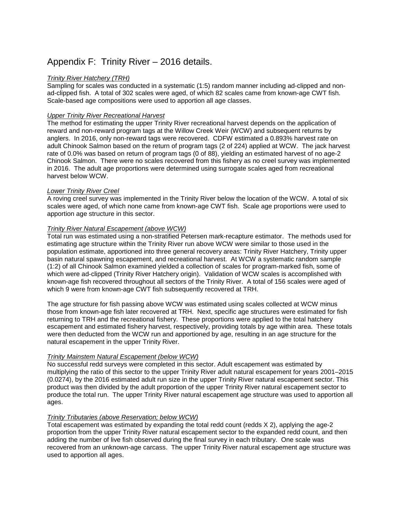# Appendix F: Trinity River – 2016 details.

#### *Trinity River Hatchery (TRH)*

Sampling for scales was conducted in a systematic (1:5) random manner including ad-clipped and nonad-clipped fish. A total of 302 scales were aged, of which 82 scales came from known-age CWT fish. Scale-based age compositions were used to apportion all age classes.

#### *Upper Trinity River Recreational Harvest*

The method for estimating the upper Trinity River recreational harvest depends on the application of reward and non-reward program tags at the Willow Creek Weir (WCW) and subsequent returns by anglers. In 2016, only non-reward tags were recovered. CDFW estimated a 0.893% harvest rate on adult Chinook Salmon based on the return of program tags (2 of 224) applied at WCW. The jack harvest rate of 0.0% was based on return of program tags (0 of 88), yielding an estimated harvest of no age-2 Chinook Salmon. There were no scales recovered from this fishery as no creel survey was implemented in 2016. The adult age proportions were determined using surrogate scales aged from recreational harvest below WCW.

#### *Lower Trinity River Creel*

A roving creel survey was implemented in the Trinity River below the location of the WCW. A total of six scales were aged, of which none came from known-age CWT fish. Scale age proportions were used to apportion age structure in this sector.

#### *Trinity River Natural Escapement (above WCW)*

Total run was estimated using a non-stratified Petersen mark-recapture estimator. The methods used for estimating age structure within the Trinity River run above WCW were similar to those used in the population estimate, apportioned into three general recovery areas: Trinity River Hatchery, Trinity upper basin natural spawning escapement, and recreational harvest. At WCW a systematic random sample (1:2) of all Chinook Salmon examined yielded a collection of scales for program-marked fish, some of which were ad-clipped (Trinity River Hatchery origin). Validation of WCW scales is accomplished with known-age fish recovered throughout all sectors of the Trinity River. A total of 156 scales were aged of which 9 were from known-age CWT fish subsequently recovered at TRH.

The age structure for fish passing above WCW was estimated using scales collected at WCW minus those from known-age fish later recovered at TRH. Next, specific age structures were estimated for fish returning to TRH and the recreational fishery. These proportions were applied to the total hatchery escapement and estimated fishery harvest, respectively, providing totals by age within area. These totals were then deducted from the WCW run and apportioned by age, resulting in an age structure for the natural escapement in the upper Trinity River.

#### *Trinity Mainstem Natural Escapement (below WCW)*

No successful redd surveys were completed in this sector. Adult escapement was estimated by multiplying the ratio of this sector to the upper Trinity River adult natural escapement for years 2001–2015 (0.0274), by the 2016 estimated adult run size in the upper Trinity River natural escapement sector. This product was then divided by the adult proportion of the upper Trinity River natural escapement sector to produce the total run. The upper Trinity River natural escapement age structure was used to apportion all ages.

#### *Trinity Tributaries (above Reservation; below WCW)*

Total escapement was estimated by expanding the total redd count (redds X 2), applying the age-2 proportion from the upper Trinity River natural escapement sector to the expanded redd count, and then adding the number of live fish observed during the final survey in each tributary. One scale was recovered from an unknown-age carcass. The upper Trinity River natural escapement age structure was used to apportion all ages.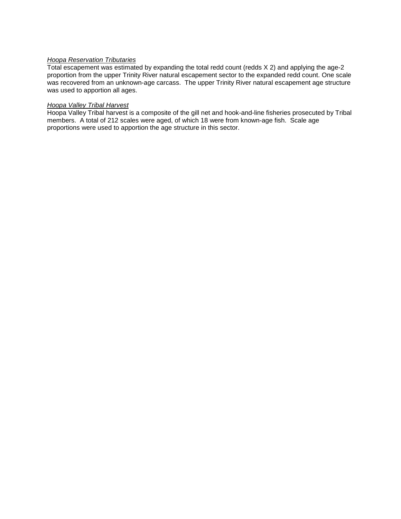#### *Hoopa Reservation Tributaries*

Total escapement was estimated by expanding the total redd count (redds X 2) and applying the age-2 proportion from the upper Trinity River natural escapement sector to the expanded redd count. One scale was recovered from an unknown-age carcass. The upper Trinity River natural escapement age structure was used to apportion all ages.

#### *Hoopa Valley Tribal Harvest*

Hoopa Valley Tribal harvest is a composite of the gill net and hook-and-line fisheries prosecuted by Tribal members. A total of 212 scales were aged, of which 18 were from known-age fish. Scale age proportions were used to apportion the age structure in this sector.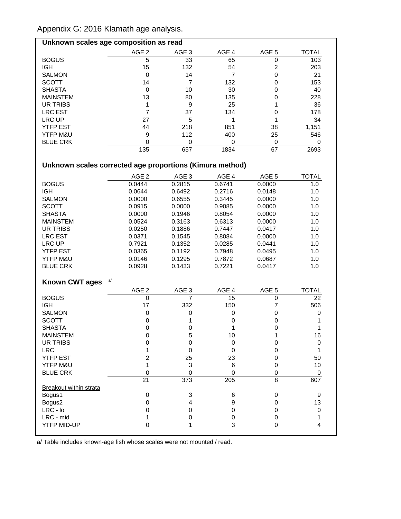Appendix G: 2016 Klamath age analysis.

| Unknown scales age composition as read |                  |                  |       |                  |              |  |  |
|----------------------------------------|------------------|------------------|-------|------------------|--------------|--|--|
|                                        | AGE <sub>2</sub> | AGE <sub>3</sub> | AGE 4 | AGE <sub>5</sub> | <b>TOTAL</b> |  |  |
| <b>BOGUS</b>                           | 5                | 33               | 65    |                  | 103          |  |  |
| <b>IGH</b>                             | 15               | 132              | 54    | 2                | 203          |  |  |
| <b>SALMON</b>                          | 0                | 14               |       |                  | 21           |  |  |
| <b>SCOTT</b>                           | 14               |                  | 132   |                  | 153          |  |  |
| <b>SHASTA</b>                          | 0                | 10               | 30    |                  | 40           |  |  |
| <b>MAINSTEM</b>                        | 13               | 80               | 135   |                  | 228          |  |  |
| UR TRIBS                               |                  | 9                | 25    |                  | 36           |  |  |
| <b>LRC EST</b>                         |                  | 37               | 134   |                  | 178          |  |  |
| LRC UP                                 | 27               | 5                |       |                  | 34           |  |  |
| <b>YTFP EST</b>                        | 44               | 218              | 851   | 38               | 1,151        |  |  |
| YTFP M&U                               | 9                | 112              | 400   | 25               | 546          |  |  |
| <b>BLUE CRK</b>                        |                  |                  | 0     |                  |              |  |  |
|                                        | 135              | 657              | 1834  | 67               | 2693         |  |  |

# **Unknown scales corrected age proportions (Kimura method)**

|                               | AGE <sub>2</sub> | AGE <sub>3</sub> | AGE 4           | AGE 5            | <b>TOTAL</b>     |
|-------------------------------|------------------|------------------|-----------------|------------------|------------------|
| <b>BOGUS</b>                  | 0.0444           | 0.2815           | 0.6741          | 0.0000           | 1.0              |
| <b>IGH</b>                    | 0.0644           | 0.6492           | 0.2716          | 0.0148           | 1.0              |
| <b>SALMON</b>                 | 0.0000           | 0.6555           | 0.3445          | 0.0000           | 1.0              |
| <b>SCOTT</b>                  | 0.0915           | 0.0000           | 0.9085          | 0.0000           | 1.0              |
| <b>SHASTA</b>                 | 0.0000           | 0.1946           | 0.8054          | 0.0000           | 1.0              |
| <b>MAINSTEM</b>               | 0.0524           | 0.3163           | 0.6313          | 0.0000           | 1.0              |
| <b>UR TRIBS</b>               | 0.0250           | 0.1886           | 0.7447          | 0.0417           | 1.0              |
| <b>LRC EST</b>                | 0.0371           | 0.1545           | 0.8084          | 0.0000           | 1.0              |
| <b>LRC UP</b>                 | 0.7921           | 0.1352           | 0.0285          | 0.0441           | 1.0              |
| <b>YTFP EST</b>               | 0.0365           | 0.1192           | 0.7948          | 0.0495           | 1.0              |
| YTFP M&U                      | 0.0146           | 0.1295           | 0.7872          | 0.0687           | 1.0              |
| <b>BLUE CRK</b>               | 0.0928           | 0.1433           | 0.7221          | 0.0417           | 1.0              |
|                               |                  |                  |                 |                  |                  |
| <b>Known CWT ages</b>         | a/               |                  |                 |                  |                  |
|                               | AGE <sub>2</sub> | AGE <sub>3</sub> | AGE 4           | AGE <sub>5</sub> | <b>TOTAL</b>     |
| <b>BOGUS</b>                  | $\mathbf 0$      | 7                | 15              | 0                | 22               |
| <b>IGH</b>                    | 17               | 332              | 150             | 7                | 506              |
| <b>SALMON</b>                 | $\pmb{0}$        | 0                | 0               | 0                | 0                |
| <b>SCOTT</b>                  | 0                | 1                | 0               | 0                | 1                |
| <b>SHASTA</b>                 | 0                | 0                | 1               | $\mathbf 0$      | 1                |
| <b>MAINSTEM</b>               | $\mathbf 0$      | 5                | 10              | 1                | 16               |
| <b>UR TRIBS</b>               | $\mathbf 0$      | $\mathbf 0$      | 0               | 0                | $\mathbf 0$      |
| <b>LRC</b>                    | 1                | $\mathbf 0$      | $\Omega$        | 0                | 1                |
| <b>YTFP EST</b>               | $\overline{2}$   | 25               | 23              | 0                | 50               |
| YTFP M&U                      | 1                | 3                | $6\phantom{1}6$ | 0                | 10               |
| <b>BLUE CRK</b>               | $\mathbf 0$      | 0                | $\mathbf 0$     | 0                | 0                |
|                               | 21               | 373              | 205             | 8                | 607              |
| <b>Breakout within strata</b> |                  |                  |                 |                  |                  |
| Bogus1                        | $\pmb{0}$        | 3                | 6               | 0                | 9                |
| Bogus2                        | $\mathbf 0$      | 4                | 9               | 0                | 13               |
| LRC - lo                      | $\mathbf 0$      | $\mathbf 0$      | $\pmb{0}$       | 0                | $\boldsymbol{0}$ |
| LRC - mid                     | 1                | 0                | $\pmb{0}$       | 0                | 1                |
| <b>YTFP MID-UP</b>            | 0                | 1                | 3               | 0                | 4                |
|                               |                  |                  |                 |                  |                  |

a/ Table includes known-age fish whose scales were not mounted / read.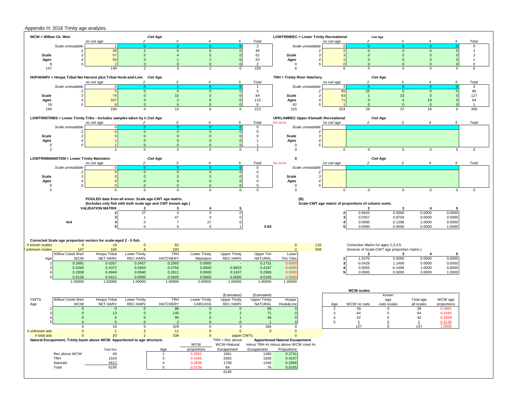#### Appendix H: 2016 Trinity age analysis.

| WCW = Willow Ck. Weir   |                                                 |                                                                                        |                                | <b>Cwt Age</b>                                              |                             |                                |                         | <b>LOWTRINREC = Lower Trinity Recreational</b>                                 |                       | <b>Cwt Age</b>                                      |                             |                           |                  |                      |
|-------------------------|-------------------------------------------------|----------------------------------------------------------------------------------------|--------------------------------|-------------------------------------------------------------|-----------------------------|--------------------------------|-------------------------|--------------------------------------------------------------------------------|-----------------------|-----------------------------------------------------|-----------------------------|---------------------------|------------------|----------------------|
|                         |                                                 | no cwt age                                                                             | 2                              | 3                                                           |                             | 5                              | Total                   |                                                                                | no cwt age            | $\overline{2}$                                      | 3                           |                           | 5                | Total                |
|                         | Scale unreadable                                | $\overline{2}$                                                                         | $\Omega$                       | - 0                                                         | $\Omega$                    |                                | $\overline{2}$          | Scale unreadable                                                               |                       | $\Omega$<br>$\mathbf{0}$                            |                             | $\Omega$<br>$\Omega$      |                  | $\mathbf 0$          |
| Scale                   |                                                 | 38<br>57                                                                               | $\overline{2}$<br>$\mathbf{0}$ | $\mathbf{0}$<br>$\overline{4}$                              | $\mathbf 0$<br>$\mathbf{0}$ |                                | 40<br>61                | Scale                                                                          |                       | $\mathbf 0$                                         | $\mathbf{0}$<br>$\mathbf 0$ | $\mathbf{0}$              |                  | $\overline{2}$<br>3  |
| Ages                    |                                                 | 50                                                                                     | $\mathbf 0$                    |                                                             | $\overline{2}$              | - 0                            | 53                      | Ages                                                                           |                       | $\Omega$                                            | $\Omega$                    | $\mathbf{0}$              |                  | $\overline{1}$       |
| 9                       |                                                 |                                                                                        | $\Omega$                       | $\Omega$                                                    | $\mathbf{0}$                |                                | $\overline{2}$          | 0                                                                              |                       | $\Omega$                                            | $\Omega$                    | $\mathbf{0}$              |                  | $\Omega$             |
| 147                     |                                                 | 149                                                                                    | $\overline{2}$                 | 5                                                           | $\overline{2}$              | $\mathbf 0$                    | 158                     | 6                                                                              | 6                     | $\Omega$                                            | $\Omega$                    | $\Omega$                  | $\mathbf 0$      | 6                    |
|                         |                                                 |                                                                                        |                                |                                                             |                             |                                |                         |                                                                                |                       |                                                     |                             |                           |                  |                      |
|                         |                                                 | HUPAHARV = Hoopa Tribal Net Harvest plus Tribal Hook-and-Line Cwt Age                  |                                |                                                             |                             |                                |                         | TRH = Trinity River Hatchery                                                   |                       |                                                     | <b>Cwt Age</b>              |                           |                  |                      |
|                         |                                                 | no cwt age                                                                             | $\overline{2}$                 | $\mathbf{3}$                                                | $\boldsymbol{4}$            | 5                              | Total                   |                                                                                | no cwt age            | $\overline{c}$                                      | $\mathbf{3}$                | $\boldsymbol{4}$          | 5                | Total                |
|                         | Scale unreadable                                |                                                                                        | $\mathbf{0}$                   | $\mathbf 0$                                                 | $\mathbf{0}$                |                                | 1<br>5                  | Scale unreadable                                                               | 55                    | 25                                                  | $\mathbf{0}$                | $\mathbf{0}$              |                  | $\overline{4}$<br>80 |
| <b>Scale</b>            |                                                 | 74                                                                                     | $\mathbf{0}$                   | 10                                                          | $\mathbf{0}$                |                                | 84                      | <b>Scale</b>                                                                   | 93                    | $\overline{1}$                                      | 33                          | $\mathbf{0}$              |                  | 127                  |
| Ages                    |                                                 | 107                                                                                    | $\mathbf{0}$                   | $\overline{2}$                                              | 6                           |                                | 115                     | Ages                                                                           | 71                    | $\mathbf{0}$                                        | $\overline{4}$              | 19                        |                  | 94                   |
| 19                      |                                                 |                                                                                        | $\mathbf{0}$                   | $\mathbf{0}$                                                | $\Omega$                    |                                | 8                       | 82                                                                             |                       | $\mathbf{0}$                                        | $\overline{0}$              | $\mathbf{0}$              |                  | $\overline{1}$       |
| 194                     |                                                 | 194                                                                                    | $\Omega$                       | 13                                                          | 6                           | $\mathbf 0$                    | 213                     | 220                                                                            | 224                   | 26                                                  | 37                          | 19                        | $\mathbf 0$      | 306                  |
|                         |                                                 |                                                                                        |                                |                                                             |                             |                                |                         |                                                                                |                       |                                                     |                             |                           |                  |                      |
|                         |                                                 | LOWTRINTRIBS = Lower Trinity Tribs - Includes samples taken by U Cwt Age<br>no cwt age |                                | 3                                                           |                             | 5                              | Total                   | UPKLAMREC Upper Klamath Recreational<br><b>NO DATA</b>                         | no cwt age            | $\overline{2}$                                      | <b>Cwt Age</b><br>3         | $\boldsymbol{\varLambda}$ | 5                | Total                |
|                         | Scale unreadable                                | $\Omega$                                                                               |                                | $\Omega$                                                    |                             |                                | $\mathbf 0$             | Scale unreadable                                                               |                       |                                                     |                             |                           |                  |                      |
|                         |                                                 |                                                                                        | $\mathbf{0}$                   | $\mathbf{0}$                                                | $\mathbf{0}$                |                                | $\mathbf 0$             |                                                                                |                       |                                                     |                             |                           |                  |                      |
| Scale                   |                                                 |                                                                                        | $\Omega$                       | $\mathbf{0}$                                                | $\Omega$                    | - 0                            | $^{\circ}$              | Scale                                                                          |                       |                                                     |                             |                           |                  |                      |
| Ages                    |                                                 |                                                                                        | $\mathbf{0}$                   | $\mathbf{0}$                                                | $\Omega$                    | $\Omega$                       |                         | Ages                                                                           |                       |                                                     |                             |                           |                  |                      |
| $^{\circ}$              |                                                 |                                                                                        | $\mathbf{0}$                   | $\mathbf{0}$                                                | $\mathbf{0}$                | $\Omega$                       |                         | $\mathsf 0$                                                                    |                       |                                                     |                             |                           |                  |                      |
| $\overline{2}$          |                                                 | 2                                                                                      | $\mathbf 0$                    | $\mathbf 0$                                                 | $\mathbf 0$                 | $\mathbf 0$                    | $\overline{2}$          | $\mathbf 0$                                                                    | $\mathbf 0$           | 0                                                   | $\mathbf 0$                 | $\mathsf 0$               | 0                | $\mathbf 0$          |
|                         | <b>LOWTRINMAINSTEM = Lower Trinity Mainstem</b> |                                                                                        |                                | <b>Cwt Age</b>                                              |                             |                                |                         | $\mathbf 0$                                                                    |                       |                                                     | <b>Cwt Age</b>              |                           |                  |                      |
|                         |                                                 | no cwt age                                                                             |                                | 3                                                           |                             | .5                             | Total                   | <b>NO DATA</b>                                                                 | no cwt age            | $\mathcal{D}$                                       | з                           |                           | 5                | Total                |
|                         | Scale unreadable                                |                                                                                        |                                | 0                                                           |                             |                                | $\mathsf 0$             | Scale unreadable                                                               |                       |                                                     |                             |                           |                  |                      |
|                         |                                                 |                                                                                        | $\mathbf 0$                    | $\overline{0}$                                              | $\mathbf{0}$                |                                | 0                       |                                                                                |                       |                                                     |                             |                           |                  |                      |
| <b>Scale</b>            |                                                 |                                                                                        | $\mathbf{0}$                   | $\overline{0}$                                              | $\mathbf{0}$                |                                | $\,0\,$                 | <b>Scale</b>                                                                   |                       |                                                     |                             |                           |                  |                      |
| Ages                    |                                                 |                                                                                        | $\mathbf{0}$                   | $\overline{0}$                                              | $\mathbf{0}$                |                                | 0                       | Ages                                                                           |                       |                                                     |                             |                           |                  |                      |
| $\mathbf 0$<br>$\Omega$ |                                                 | $\mathbf{0}$                                                                           | $\Omega$<br>$\mathbf{0}$       | $\overline{0}$<br>$\mathbf 0$                               | $\Omega$<br>$\mathbf{0}$    | $\overline{0}$                 | $\Omega$<br>$\mathsf 0$ | 0<br>$\mathbf 0$                                                               | 0                     | 0                                                   | $\mathbf 0$                 | $\mathsf 0$               | $\mathbf 0$      | $\mathbf 0$          |
|                         |                                                 |                                                                                        |                                |                                                             |                             |                                |                         |                                                                                |                       |                                                     |                             |                           |                  |                      |
|                         |                                                 |                                                                                        |                                | POOLED data from all areas: Scale age-CWT age matrix.       |                             |                                |                         | (B)                                                                            |                       |                                                     |                             |                           |                  |                      |
|                         |                                                 |                                                                                        |                                |                                                             |                             |                                |                         |                                                                                |                       |                                                     |                             |                           |                  |                      |
|                         |                                                 |                                                                                        |                                | (Includes only fish with both scale age and CWT known age.) |                             |                                |                         |                                                                                |                       | Scale-CWT age matrix of proportions of column sums. |                             |                           |                  |                      |
|                         |                                                 | <b>VALIDATION MATRIX</b>                                                               | $\mathbf{2}$                   | 3                                                           | 4                           | 5                              |                         |                                                                                |                       |                                                     | -3                          | 4                         | 5                |                      |
|                         |                                                 |                                                                                        | 27                             | $\mathbf 0$                                                 | $\mathbf 0$                 |                                |                         |                                                                                |                       | 0.9643                                              | 0.0000                      | 0.0000                    | 0.0000           |                      |
|                         |                                                 |                                                                                        |                                | 47                                                          | 0                           |                                |                         |                                                                                |                       | 0.0357                                              | 0.8704                      | 0.0000                    | 0.0000           |                      |
|                         | 4x4                                             |                                                                                        | $\mathbf 0$                    | $\overline{7}$                                              | 27                          |                                |                         |                                                                                |                       | 0.0000                                              | 0.1296                      | 1.0000                    | 0.0000           |                      |
|                         |                                                 |                                                                                        | $\mathbf 0$                    | $\mathbf 0$                                                 | $\mathbf{0}$                |                                | 0.93                    |                                                                                |                       | 0.0000                                              | 0.0000                      | 0.0000                    | 1.0000           |                      |
|                         |                                                 |                                                                                        |                                |                                                             |                             |                                |                         |                                                                                |                       |                                                     |                             |                           |                  |                      |
|                         |                                                 | Corrected Scale age proportion vectors for scale-aged 2 - 5 fish.                      |                                |                                                             |                             |                                |                         |                                                                                |                       |                                                     |                             |                           |                  |                      |
| # known scales          | 9                                               | 19                                                                                     | $\mathbf 0$                    | 82                                                          |                             |                                |                         | 110<br>$\mathbf 0$                                                             |                       | Correction Matrix for ages 2,3,4,5.                 |                             |                           |                  |                      |
| unknown scales          | 147                                             | 194                                                                                    | 6                              | 220                                                         |                             |                                |                         | 569                                                                            |                       | (Inverse of Scale-CWT age proportion matrix.)       |                             |                           |                  |                      |
|                         | Willow Creek Weir                               | Hoopa Tribal                                                                           | <b>Lower Trinity</b>           | TRH                                                         | Lower Trinity               | <b>Upper Trinity</b>           | Upper Trin              | Lower                                                                          |                       | $\overline{2}$                                      | -3                          | 4                         | 5                |                      |
| Age                     | <b>WCW</b>                                      | <b>NET HARV</b>                                                                        | <b>REC HARV</b>                | <b>HATCHERY</b>                                             | Mainstem                    | <b>REC HARV</b>                | NATURAL                 | <b>Trin Tribs</b>                                                              |                       | 1.0370                                              | 0.0000                      | 0.0000                    | 0.0000           |                      |
|                         | 0.2681                                          | 0.0267                                                                                 | 0.3457                         | 0.2593                                                      | 0.0000                      |                                | 0.2731                  | 0.000                                                                          |                       | $-0.0426$                                           | 1.1489                      | 0.0000                    | 0.0000           |                      |
|                         | 0.4345                                          | 0.4372                                                                                 | 0.5603                         | 0.4750                                                      | 0.0000                      | 0.8563                         | 0.4197                  | 0.0000                                                                         |                       | 0.0055                                              | $-0.1489$                   | 1.0000                    | 0.0000           |                      |
|                         | 0.2838<br>0.0136                                | 0.4949<br>0.0412                                                                       | 0.0940<br>0.0000               | 0.2611<br>0.0045                                            | 0.0000<br>0.0000            | 0.1437<br>0.0000               | 0.2906<br>0.0165        | 0.5000<br>0.5000                                                               |                       | 0.0000                                              | 0.0000                      | 0.0000                    | 1.0000           |                      |
|                         | 1.00000                                         | 1.00000                                                                                | 1.00000                        | 1.00000                                                     | 0.00000                     | 1.00000                        | 1.00000                 | 1.00000                                                                        |                       |                                                     |                             |                           |                  |                      |
|                         |                                                 |                                                                                        |                                |                                                             |                             |                                |                         |                                                                                |                       |                                                     |                             |                           |                  |                      |
|                         |                                                 |                                                                                        |                                |                                                             |                             |                                |                         |                                                                                |                       | <b>WCW scales</b>                                   |                             |                           |                  |                      |
|                         |                                                 |                                                                                        |                                |                                                             |                             | (Estimated)                    | (Estimated)             |                                                                                |                       |                                                     | known                       |                           |                  |                      |
| <b>CWTS</b>             | Willow Creek Weir                               | Hoopa Tribal                                                                           | <b>Lower Trinity</b>           | <b>TRH</b>                                                  | <b>Lower Trinity</b>        | <b>Upper Trinity</b>           | <b>Upper Trinity</b>    | Hoopa                                                                          |                       |                                                     | age                         | Total age                 | WCW age          |                      |
| Age                     | <b>WCW</b><br>$\mathbf{0}$                      | NET HARV<br>$\Omega$                                                                   | <b>REC HARV</b><br>$\mathbf 0$ | <b>HATCHERY</b><br>86                                       | CARCASS<br>$\mathbf{0}$     | <b>REC HARV</b><br>$\Omega$    | NATURAL                 | Hook&Line                                                                      | Age<br>$\overline{2}$ | WCW no cwts                                         | cwts scales<br>$\mathbf 0$  | all scales                | proportions      |                      |
|                         | $\mathbf{0}$                                    | 13                                                                                     | $\mathbf{0}$                   | 145                                                         | $\Omega$                    | $\overline{2}$                 | 68<br>71                |                                                                                | 3                     | 39<br>64                                            | $\Omega$                    | 39<br>64                  | 0.2681<br>0.4345 |                      |
|                         | $\Omega$                                        | 6                                                                                      | $\mathbf{0}$                   | 95                                                          | $\Omega$                    |                                | 46                      |                                                                                | $\overline{4}$        | 42                                                  | $\Omega$                    | 42                        | 0.2838           |                      |
|                         | $\Omega$                                        | $\Omega$                                                                               | $\mathbf 0$                    | $\overline{2}$                                              | $\Omega$                    | $\overline{0}$                 | $\overline{1}$          |                                                                                | 5                     | $\overline{2}$                                      |                             | $\overline{2}$            | 0.0136           |                      |
|                         |                                                 | 19                                                                                     |                                | 328                                                         |                             | -3                             | 186                     | 0                                                                              |                       | 147                                                 |                             | 147                       | 1.0000           |                      |
| # unknown ads           | $\mathbf{0}$                                    |                                                                                        | $\overline{2}$                 | 11                                                          | $\Omega$                    | $\mathbf{0}$                   | $\mathbf{0}$            | $\mathbf{0}$                                                                   |                       |                                                     |                             |                           |                  |                      |
| # total ads             | $\Omega$                                        | 20<br>Natural Escapement, Trinity basin above WCW: Apportioned to age structure.       | $\overline{2}$                 | 339                                                         |                             | paper CWTs                     |                         |                                                                                |                       |                                                     |                             |                           |                  |                      |
|                         |                                                 |                                                                                        |                                |                                                             | <b>WCW</b>                  | TRH + Rec above<br>WCW+Natural |                         | <b>Apportioned Natural Escapement</b><br>minus TRH #s minus above WCW creel #s |                       |                                                     |                             |                           |                  |                      |
|                         |                                                 | <b>Total Run</b>                                                                       |                                | Age                                                         | proportions                 | Escapement                     | Escapement              | Proportions                                                                    |                       |                                                     |                             |                           |                  |                      |
|                         | Rec above WCW                                   | 40                                                                                     |                                | 2                                                           | 0.2681                      | 1661                           | 1260                    | 0.2731                                                                         |                       |                                                     |                             |                           |                  |                      |
|                         | TRH                                             | 1543                                                                                   |                                | 3                                                           | 0.4345                      | 2692                           | 1936                    | 0.4197                                                                         |                       |                                                     |                             |                           |                  |                      |
|                         | Naturals                                        | 4612                                                                                   |                                | $\overline{4}$                                              | 0.2838                      | 1758                           | 1340                    | 0.2906                                                                         |                       |                                                     |                             |                           |                  |                      |
|                         | Total                                           | 6195                                                                                   |                                | 5                                                           | 0.0136                      | 84<br>6195                     | 76                      | 0.0165                                                                         |                       |                                                     |                             |                           |                  |                      |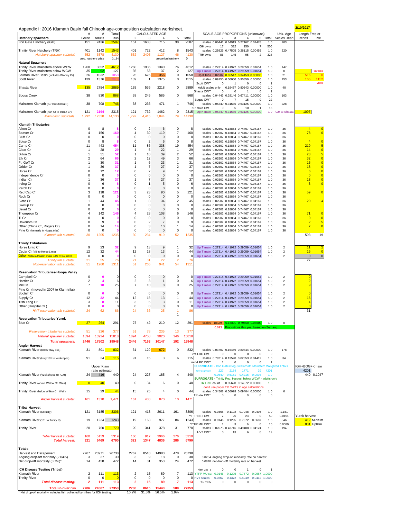| Appendix I: 2016 Klamath Basin fall Chinook age-composition calculation worksheet.                       |                                     |                               |                       |                                        |                             |                                    |                              |                             | 2/10/2017                                                                                                                                                                                                          |                                  |
|----------------------------------------------------------------------------------------------------------|-------------------------------------|-------------------------------|-----------------------|----------------------------------------|-----------------------------|------------------------------------|------------------------------|-----------------------------|--------------------------------------------------------------------------------------------------------------------------------------------------------------------------------------------------------------------|----------------------------------|
| <b>Hatchery spawners</b>                                                                                 | Grilse                              | Adults                        | Total<br>Run          | $\overline{\mathbf{c}}$                | 3                           | CALCULATED AGE<br>4                | 5                            | Total                       | SCALE AGE PROPORTIONS (unknowns)<br>Unk. Age<br>Length Freq or<br><b>Scales Read</b><br>Redds<br>2<br>3<br>5 Total<br>4                                                                                            | Live                             |
| Iron Gate Hatchery (IGH)                                                                                 | 151                                 | 2436                          | 258                   | 151                                    | 1683                        | 715                                | 38                           | 2587                        | scales 0.06441 0.64919 0.27162 0.01478<br>1.0<br>203<br>506<br>332<br>150<br>$\overline{7}$<br>IGH cwts<br>17                                                                                                      |                                  |
| Trinity River Hatchery (TRH)<br>Hatchery spawner subtotal:                                               | 401<br>552<br>prop. hatchery grilse | 1142<br>3578                  | 1543<br>4130<br>0.134 | 401<br>552                             | 722<br>2405                 | 412<br>1127<br>proportion hatchery | 8<br>46                      | 1543<br>4130<br>$\mathbf 0$ | scales 0.25926 0.47505 0.26115 0.00455<br>1.0<br>220<br>328<br><b>TRH cwts</b><br>86<br>145<br>95<br>$\overline{2}$                                                                                                |                                  |
| <b>Natural Spawners</b><br>Trinity River mainstem above WCW                                              | 1260                                | 3352                          | 4612                  | 1260                                   | 1936                        | 1340                               | 76                           | 4612                        | scales 0.27314 0.41972 0.29059 0.01654<br>147<br>1.0                                                                                                                                                               |                                  |
| Trinity River mainstem below WCW                                                                         | 35                                  | -92                           | 127                   | 35                                     | 53                          | 37                                 | $\overline{\mathbf{c}}$      | 127                         | Up T main 0.27314 0.41972 0.29059 0.01654<br>1.0<br>$^{\circ}$<br>516                                                                                                                                              | carcass                          |
| Salmon River Basin (includes Wooley Cr)<br>Scott River                                                   | 26<br>139                           | 1032<br>1376                  | 105                   | 26<br>139                              | 676<br>$\mathbf{1}$         | 356<br>1375                        | $\pmb{0}$<br>0               | 1058<br>1515                | Up K tribs 0.02502 0.65547 0.34453 0.00000<br>1.0<br>21<br>165<br>scales 0.09150 0.00000 0.90850 0.00000<br>1.0<br>153<br>Scott CWT<br>$^{\circ}$<br>$\overline{1}$<br>$^{\circ}$<br>$\mathbf 0$<br>$\overline{1}$ | 115<br>vide                      |
| Shasta River                                                                                             | 135                                 | 2754                          | 2889                  | 135                                    | 536                         | 2218                               | 0                            | 2889                        | Adult scales only<br>0.19457 0.80543 0.00000<br>1.0<br>40<br>Shasta CWT<br>$\mathbf 0$<br>$\mathbf 0$<br>$\mathbf{1}$<br>$\mathbf 0$<br>$\overline{1}$                                                             |                                  |
| <b>Bogus Creek</b>                                                                                       | 38                                  | 830                           | 868                   | 38                                     | 245                         | 585                                | 0                            | 868                         | scales 0.04443 0.28146 0.67411 0.00000<br>1.0<br>103<br>22<br>Bogus CWT<br>$^{\circ}$<br>$\overline{7}$<br>15<br>$\Omega$                                                                                          |                                  |
| Mainstem Klamath (IGH to Shasta R)                                                                       | 38                                  | 708                           | 746                   | 38                                     | 236                         | 471                                | 1                            | 746                         | 1.0<br>scales 0.05240 0.31635 0.63125 0.00000<br>228                                                                                                                                                               |                                  |
| Mainstem Klamath (Ash Cr to Indian Cr)<br>Main basin subtotals:                                          | 121<br>1,792                        | 2194<br>12338                 | 2315<br>14,130        | 121<br>1,792                           | 732<br>4,415                | 1462<br>7,844                      | 0<br>79                      | 2315<br>14130               | 16<br><b>KR</b> main CWT<br>$\mathbf 0$<br>5<br>10<br>Up K main 0.05240 0.31635 0.63125 0.00000<br>1.0 IGH to Shasta<br>1097                                                                                       |                                  |
| <b>Klamath Tributaries</b>                                                                               |                                     |                               |                       |                                        |                             |                                    |                              |                             |                                                                                                                                                                                                                    |                                  |
| Aiken Cr<br>Beaver Cr                                                                                    | $\mathbf 0$<br>$\overline{4}$       | 8<br>156                      | 160                   | 0<br>$\overline{4}$                    | $\overline{2}$<br>30        | 6<br>119                           | 0<br>$\overline{7}$          | 8<br>160                    | scales 0.02502 0.18864 0.74467 0.04167<br>1.0<br>36<br>$\overline{4}$<br>78<br>scales 0.02502 0.18864 0.74467 0.04167<br>36<br>1.0                                                                                 | $\overline{0}$<br>$\overline{0}$ |
| <b>Bluff Cr</b>                                                                                          | $\pmb{0}$                           | $\mathbf 0$<br>8              | n                     | $\pmb{0}$<br>$\mathbf 0$               | 0<br>$\overline{2}$         | $\mathbf 0$<br>6                   | 0<br>$\bf 0$                 | 0<br>8                      | scales 0.02502 0.18864 0.74467 0.04167<br>1.0<br>36<br>$\overline{4}$                                                                                                                                              | $\overline{0}$                   |
| <b>Boise Cr</b><br>Camp Cr                                                                               | 0<br>11                             | 443                           | 454                   | 11                                     | 86                          | 338                                | 19                           | 454                         | scales 0.02502 0.18864 0.74467 0.04167<br>1.0<br>36<br>219<br>scales 0.02502 0.18864 0.74467 0.04167<br>36<br>1.0                                                                                                  | $\overline{\mathbf{5}}$          |
| Clear Cr<br>Dillon Cr                                                                                    | 1<br>1                              | 28<br>51                      | 29<br>52              | $\mathbf{1}$<br>$\mathbf{1}$           | 5<br>10                     | 22<br>39                           | 1<br>$\overline{2}$          | 29<br>52                    | 14<br>scales 0.02502 0.18864 0.74467 0.04167<br>1.0<br>36<br>23<br>scales 0.02502 0.18864 0.74467 0.04167<br>1.0<br>36                                                                                             | $\overline{0}$<br>5              |
| Elk Cr                                                                                                   | $\overline{2}$                      | 64                            | 66                    | $\overline{2}$                         | 12                          | 49                                 | 3                            | 66                          | 32<br>1.0<br>36<br>scales 0.02502 0.18864 0.74467 0.04167                                                                                                                                                          | $\overline{\mathbf{0}}$          |
| Ft. Goff Cr<br>Grider Cr                                                                                 | 1<br>1                              | 30<br>36                      | 31<br>37              | $\mathbf{1}$<br>$\overline{1}$         | 6<br>$\overline{7}$         | 23<br>27                           | 1<br>$\overline{\mathbf{c}}$ | 31<br>37                    | 15<br>scales 0.02502 0.18864 0.74467 0.04167<br>1.0<br>36<br>18<br>36<br>scales 0.02502 0.18864 0.74467 0.04167<br>1.0                                                                                             | $\overline{0}$<br>$\overline{0}$ |
| Horse Cr<br>Independence Cr                                                                              | 0<br>0                              | 12<br>$\mathbf 0$             | 12<br>n               | $\mathbf 0$<br>0                       | $\overline{2}$<br>0         | $9\,$<br>$\bf 0$                   | $\mathbf{1}$<br>0            | 12<br>$\Omega$              | 6<br>36<br>scales 0.02502 0.18864 0.74467 0.04167<br>1.0<br>$\overline{0}$<br>scales 0.02502 0.18864 0.74467 0.04167<br>1.0<br>36                                                                                  | $\overline{0}$<br>$\overline{0}$ |
| Indian Cr                                                                                                | 1                                   | 36                            | 37                    | $\overline{1}$                         | $\overline{7}$              | 27                                 | $\overline{\mathbf{c}}$      | 37                          | 18<br>scales 0.02502 0.18864 0.74467 0.04167<br>1.0<br>36                                                                                                                                                          | $\overline{0}$                   |
| Irving Cr<br>Perch Cr                                                                                    | $\Omega$<br>$\mathsf 0$             | 6<br>$\mathbf 0$              | 6<br>n                | $\mathbf 0$<br>$\mathbf 0$             | $\mathbf{1}$<br>$\mathbf 0$ | 5<br>$\mathbf 0$                   | $\mathbf 0$<br>0             | 6<br>$\mathsf 0$            | 3<br>scales 0.02502 0.18864 0.74467 0.04167<br>1.0<br>36<br>scales 0.02502 0.18864 0.74467 0.04167<br>1.0<br>36                                                                                                    | $\overline{0}$                   |
| Red Cap Cr<br>Rock Cr                                                                                    | 3<br>0                              | 118<br>0                      | 121<br>$\mathbf 0$    | 3<br>0                                 | 23<br>0                     | 90<br>$\mathbf 0$                  | 5<br>0                       | 121<br>0                    | 59<br>scales 0.02502 0.18864 0.74467 0.04167<br>1.0<br>36<br>scales 0.02502 0.18864 0.74467 0.04167<br>36<br>1.0                                                                                                   | $\overline{0}$                   |
| Slate Cr                                                                                                 | 1                                   | 44                            | 45                    | 1                                      | 8                           | 34                                 | $\overline{\mathbf{c}}$      | 45                          | 20<br>scales 0.02502 0.18864 0.74467 0.04167<br>1.0<br>36                                                                                                                                                          | $\overline{4}$                   |
| Swillup Cr<br>Seiad Cr                                                                                   | 0<br>0                              | 0<br>0                        | $\mathbf{0}$          | 0<br>0                                 | 0<br>0                      | $\mathbf 0$<br>$\mathbf 0$         | 0<br>0                       | 0<br>$\mathsf 0$            | scales 0.02502 0.18864 0.74467 0.04167<br>36<br>1.0<br>scales 0.02502 0.18864 0.74467 0.04167<br>1.0<br>36                                                                                                         |                                  |
| Thompson Cr                                                                                              | $\overline{4}$                      | 142                           | 146                   | $\overline{4}$                         | 28                          | 108                                | 6                            | 146                         | 36<br>71<br>scales 0.02502 0.18864 0.74467 0.04167<br>1.0                                                                                                                                                          | $\overline{\mathbf{0}}$          |
| Ti Cr<br>Unkonom Cr                                                                                      | 0<br>0                              | 0<br>9                        | $\mathbf 0$           | 0<br>0                                 | 0<br>$\overline{2}$         | $\mathbf 0$<br>$\overline{7}$      | 0<br>0                       | 0<br>9                      | $\overline{0}$<br>scales 0.02502 0.18864 0.74467 0.04167<br>36<br>1.0<br>$\overline{2}$<br>scales 0.02502 0.18864 0.74467 0.04167<br>1.0<br>36                                                                     | $\overline{0}$<br>5              |
| Other (China Cr, Rogers Cr)<br>Pine Cr (formerly in Hoopa tribs)                                         | 0<br>0                              | 14<br>0                       | 14                    | $\mathbf 0$<br>0                       | 3<br>0                      | 10<br>$\mathbf 0$                  | 1<br>0                       | 14<br>0                     | $\overline{7}$<br>scales 0.02502 0.18864 0.74467 0.04167<br>1.0<br>36<br>scales 0.02502 0.18864 0.74467 0.04167<br>36<br>1.0                                                                                       | $\overline{\mathbf{0}}$          |
| Klamath trib subtotal:                                                                                   | 30                                  | 1205                          | 1235                  | 30                                     | 234                         | 919                                | 52                           | 1235                        | 593                                                                                                                                                                                                                | 19                               |
| <b>Trinity Tributaries</b>                                                                               |                                     |                               |                       |                                        |                             |                                    |                              |                             |                                                                                                                                                                                                                    |                                  |
| Horse Linto Cr<br>Cedar Cr (trib to Horse Linto)                                                         | 9<br>12                             | 23<br>32                      | 32<br>44              | 9<br>12                                | 13<br>18                    | 9<br>13                            | $\mathbf{1}$<br>$\mathbf{1}$ | 32<br>44                    | Up T main 0.27314 0.41972 0.29059 0.01654<br>$\overline{2}$<br>11<br>1.0<br>$\mathbf{2}$<br>16<br>Up T main 0.27314 0.41972 0.29059 0.01654<br>1.0                                                                 | $\overline{2}$<br>$\overline{0}$ |
| Other (Willow & Madden creeks in Up TR nat estim)                                                        | 0                                   | 0                             | $\mathbf{0}$          | $\pmb{0}$                              | 0                           | $\mathbf 0$                        | $\pmb{0}$                    | 0                           | $\overline{\mathbf{c}}$<br>$\bf{0}$<br>Up T main 0.27314 0.41972 0.29059 0.01654<br>1.0                                                                                                                            | $\pmb{0}$                        |
| Trinity trib subtotal:<br>Non-reservation trib subtotal:                                                 | 21<br>51                            | 55<br>1260                    | 76<br>1311            | 21<br>51                               | 31<br>265                   | 22<br>941                          | $\overline{2}$<br>54         | 76<br>1311                  | 27                                                                                                                                                                                                                 |                                  |
| <b>Reservation Tributaries-Hoopa Valley</b>                                                              |                                     |                               |                       |                                        |                             |                                    |                              |                             |                                                                                                                                                                                                                    |                                  |
| Campbell Cr                                                                                              | $\mathsf 0$                         | $\bf{0}$                      | $\Omega$              | $\mathbf 0$                            | $\bf 0$                     | $\bf 0$                            | 0                            | 0                           | Up T main 0.27314 0.41972 0.29059 0.01654<br>$\boldsymbol{2}$<br>1.0<br>$\mathbf 0$                                                                                                                                |                                  |
| Hostler Cr<br>Mill Cr                                                                                    | $\overline{2}$<br>$\overline{7}$    | $\boldsymbol{4}$<br>18        | 6<br>25               | $\overline{2}$<br>$\overline{7}$       | 3<br>10                     | $\mathbf{1}$<br>8                  | 0<br>0                       | 6<br>25                     | $\overline{2}$<br>$\overline{2}$<br>Up T main 0.27314 0.41972 0.29059 0.01654<br>1.0<br>$\overline{9}$<br>Up T main 0.27314 0.41972 0.29059 0.01654<br>$\overline{2}$<br>1.0                                       |                                  |
| Pine Gr. (moved in 2007 to Klam tribs)<br>Soctish Cr                                                     | 0                                   | $\mathbf 0$                   | 0                     | $\mathbf 0$                            | 0                           | $\mathbf 0$                        | 0                            | 0                           | Up T main 0.27314 0.41972 0.29059 0.01654<br>$\overline{2}$<br>1.0                                                                                                                                                 |                                  |
| Supply Cr                                                                                                | 12                                  | 32                            | 44                    | 12                                     | 18                          | 13                                 | 1                            | 44                          | Up T main 0.27314 0.41972 0.29059 0.01654<br>1.0<br>$\overline{2}$<br>16                                                                                                                                           |                                  |
| Tish Tang Cr<br>Other (Hospital Cr.)                                                                     | 3<br>0                              | 8<br>$\mathbf 0$              | 11<br>0               | 3<br>$\mathbf 0$                       | 5<br>$\bf 0$                | 3<br>$\bf 0$                       | 0<br>0                       | 11<br>0                     | Up T main 0.27314 0.41972 0.29059 0.01654<br>1.0<br>$\overline{c}$<br>$\overline{4}$<br>$\overline{0}$<br>Up T main 0.27314 0.41972 0.29059 0.01654<br>1.0<br>$\overline{\mathbf{c}}$                              |                                  |
| HVT reservation trib subtotal:                                                                           | 24                                  | 62                            | 86                    | 24                                     | 36                          | 25                                 | 1<br>$\mathbf{1}$            | 86                          | 31                                                                                                                                                                                                                 |                                  |
| <b>Reservation Tributaries-Yurok</b><br><b>Blue Cr</b>                                                   | 27                                  | 264                           | 291                   | 27                                     | 42                          | 210                                | 12                           | 291                         | count 0.15800 0.79600 0.04600<br>1.0<br>scales                                                                                                                                                                     |                                  |
|                                                                                                          |                                     |                               |                       |                                        |                             |                                    |                              |                             | 0.093 Proportions this year based on 5-yr avg                                                                                                                                                                      |                                  |
| Reservation tributaries subtotal:<br>Natural spawner subtotal:                                           | 51<br>1894                          | 326<br>13924                  | 377<br>15818          | 51<br>1894                             | 78<br>4758                  | 235<br>9020                        | 13<br>146                    | 377<br>15818                |                                                                                                                                                                                                                    |                                  |
| <b>Total spawners:</b>                                                                                   | 2446                                | 17502                         | 19948                 | 2446                                   | 7163                        | 10147                              | 192                          | 19948                       |                                                                                                                                                                                                                    |                                  |
| <b>Angler Harvest</b><br>Klamath River (below Hwy 101)                                                   | 31                                  | 801                           | 832                   | 31                                     | 129                         | 672                                | 0                            | 832                         | scales 0.03707 0.15449 0.80844 0.00000<br>1.0<br>178                                                                                                                                                               |                                  |
| Klamath River (Hwy 101 to Weitchpec)                                                                     | 91                                  | 24                            | 115                   | 91                                     | 15                          | 3                                  | 6                            | 115                         | est-LRC CWT<br>$\Omega$<br>$\Omega$<br>$\mathbf 0$<br>$\Omega$<br>$\Omega$<br>scales 0.79214 0.13520 0.02853 0.04412<br>1.0<br>34                                                                                  |                                  |
|                                                                                                          |                                     |                               |                       |                                        |                             |                                    |                              |                             | mid-LRC CWT<br>$\bf{0}$<br>$\mathbf{1}$<br>$\mathbf 0$<br>$\mathbf 0$<br>$\overline{1}$                                                                                                                            |                                  |
|                                                                                                          |                                     | Upper Klam<br>ratio estimator |                       |                                        |                             |                                    |                              |                             | IGH+BOG+Kmain<br><b>SURROGATE</b> - Iron Gate+Bogus+Klamath Mainstem Weighted Totals<br>4201<br>4201<br>227<br>2164<br>39<br>1771                                                                                  |                                  |
| Klamath River (Weitchpec to IGH)                                                                         | 24                                  | 416                           | 440                   | 24                                     | 227                         | 185                                | 4                            | 440                         | 0.0540  0.5151  0.4216  0.0093<br>1.0<br>SURROGATE - Trinity Rec. Harvest below WCW - adults only                                                                                                                  | 440 0.1047                       |
| Trinity River (above Willow Cr. Weir)                                                                    | $\overline{0}$                      | 40                            | 40                    | 0                                      | 34                          | 6                                  | 0                            | 40                          | TR LRC count<br>0.85628 0.14372 0.00000<br>1.0                                                                                                                                                                     |                                  |
| Trinity River (below Willow Cr. Weir)                                                                    | 15                                  | 29                            | 44                    | 15                                     | 25                          | $\overline{4}$                     | 0                            | 44                          | don't use paper TR CWTs in age calculations<br>scales 0.34568 0.56028 0.09404 0.00000<br>6<br>1.0                                                                                                                  |                                  |
| Angler harvest subtotal:                                                                                 | 161                                 | 1310                          | 1,471                 | 161                                    | 430                         | 870                                | 10                           | 1471                        | TR-low CWT<br>$\mathbf 0$<br>0<br>$\mathsf 0$<br>$^{\circ}$<br>$\circ$                                                                                                                                             |                                  |
| <b>Tribal Harvest</b>                                                                                    |                                     |                               |                       |                                        |                             |                                    |                              |                             |                                                                                                                                                                                                                    |                                  |
| Klamath River (Estuary)                                                                                  | 121                                 | 3185                          | 3306                  | 121                                    | 413                         | 2611                               | 161                          | 3306                        | 0.0365 0.1192 0.7948<br>0.0495<br>1.0<br>1,151<br>scales                                                                                                                                                           |                                  |
| Klamath River (101 to Trinity R)                                                                         | 19                                  | 1224                          | 1243                  | 19                                     | 163                         | 977                                | 84                           | 1243                        | 0.0151<br>Yurok harvest<br>YTEP EST CWT<br>$\overline{2}$<br>25<br>23<br>$\mathsf 0$<br>50<br>0.0146 0.1295<br>0.7872 0.0687<br>1.0<br>546<br>scales                                                               | 412 MidKlm                       |
| <b>Trinity River</b>                                                                                     | 20                                  | 750                           | 770                   | 20                                     | 341                         | 378                                | 31                           | 770                         | YTFP MU CWT<br>831 UpKIm<br>10<br>0.0080<br>3<br>6<br>$\mathbf 0$<br>-1<br>scales 0.02673 0.43716 0.49488 0.04124<br>1.0<br>194                                                                                    |                                  |
|                                                                                                          |                                     |                               |                       |                                        |                             |                                    |                              |                             | HVT CWT<br>0<br>13<br>6<br>$\Omega$<br>19                                                                                                                                                                          |                                  |
| Tribal harvest subtotal:<br><b>Total harvest:</b>                                                        | 160<br>321                          | 5159<br>6469                  | 5319<br>6790          | 160<br>321                             | 917<br>1347                 | 3966<br>4836                       | 276<br>286                   | 5319<br>6790                |                                                                                                                                                                                                                    |                                  |
| <b>Totals</b>                                                                                            |                                     |                               |                       |                                        |                             |                                    |                              |                             |                                                                                                                                                                                                                    |                                  |
| Harvest and Escapement                                                                                   | 2767                                | 23971                         | 26738                 | 2767                                   | 8510                        | 14983                              | 478                          | 26738                       |                                                                                                                                                                                                                    |                                  |
| Angling drop-off mortality (2.04%)<br>Net drop-off mortality (8.7%)*                                     | 3<br>14                             | 27<br>458                     | 30<br>472             | 3<br>14                                | 9<br>81                     | 18<br>353                          | $\mathbf 0$<br>24            | 30<br>472                   | 0.0204 angling drop-off mortality rate on harvest<br>0.0870 net drop-off mortality rate on harvest                                                                                                                 |                                  |
| <b>ICH Disease Testing (Tribal)</b>                                                                      |                                     |                               |                       |                                        |                             |                                    |                              |                             | Klam CWTs<br>$\mathbf 0$<br>0<br>$\mathbf{1}$<br>$\mathbf 0$                                                                                                                                                       |                                  |
| Klamath River<br><b>Trinity River</b>                                                                    | $\overline{2}$<br>0                 | 111<br>$\Omega$               | 113<br>$\Omega$       | $\overline{\mathbf{c}}$<br>$\mathsf 0$ | 15<br>$\mathsf 0$           | 89<br>0                            | $\overline{7}$<br>$\pmb{0}$  |                             | 113 YTFP MU sci 0.0146<br>0.1295<br>0.7872 0.0687 1.0000<br>0 HVT scales<br>0.0267                                                                                                                                 |                                  |
| <b>Total disease testing:</b>                                                                            | $\mathbf{2}$                        | 111                           | 113                   | $\overline{\mathbf{2}}$                | 15                          | 89                                 | 7                            | 113                         | 0.4372  0.4949  0.0412  1.0000<br>0<br>Trin CWTs<br>0<br>$\mathbf 0$<br>$^{\circ}$<br>$^{\circ}$                                                                                                                   |                                  |
| <b>Total in-river run</b><br>* Net drop-off mortality includes fish collected by tribes for ICH testing. | 2786                                | 24567                         | 27353                 | 2786<br>10.2%                          | 8615<br>31.5%               | 15443<br>56.5%                     | 509<br>1.9%                  | 27353                       |                                                                                                                                                                                                                    |                                  |